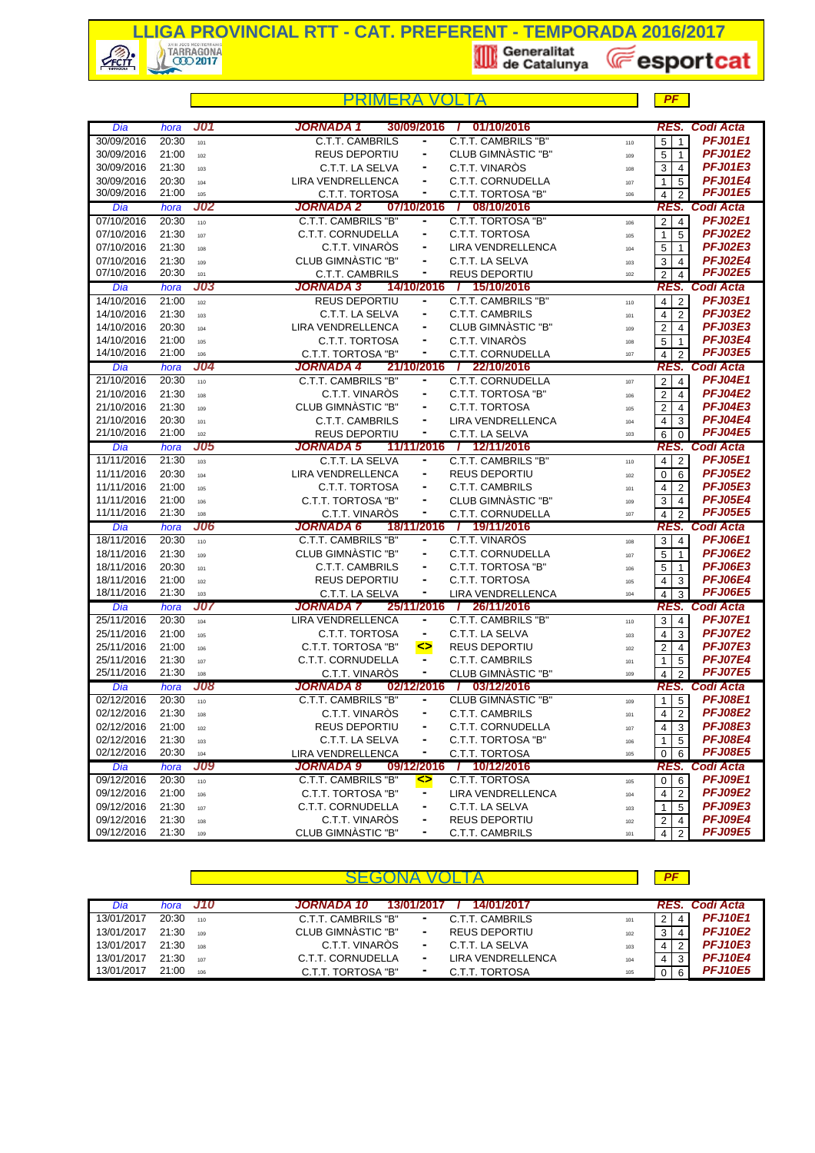

|                          |                    |            | PRIMFRA                                      |                              |                                         |            | PF                               |                             |
|--------------------------|--------------------|------------|----------------------------------------------|------------------------------|-----------------------------------------|------------|----------------------------------|-----------------------------|
| Dia                      | hora               | JO1        | JORNADA 1                                    | 30/09/2016                   | 01/10/2016<br>-1                        |            | RES.                             | <b>Codi Acta</b>            |
| 30/09/2016               | 20:30              | 101        | <b>C.T.T. CAMBRILS</b>                       |                              | C.T.T. CAMBRILS "B"                     | 110        | 5<br>$\mathbf{1}$                | <b>PFJ01E1</b>              |
| 30/09/2016               | 21:00              | 102        | <b>REUS DEPORTIU</b>                         |                              | CLUB GIMNASTIC "B"                      | 109        | 5<br>$\overline{1}$              | <b>PFJ01E2</b>              |
| 30/09/2016               | 21:30              | 103        | C.T.T. LA SELVA                              | $\blacksquare$               | C.T.T. VINARÒS                          | 108        | 3<br>$\overline{4}$              | <b>PFJ01E3</b>              |
| 30/09/2016               | 20:30              | 104        | <b>LIRA VENDRELLENCA</b>                     |                              | C.T.T. CORNUDELLA                       | 107        | $\mathbf{1}$<br>5                | <b>PFJ01E4</b>              |
| 30/09/2016               | 21:00              | 105        | C.T.T. TORTOSA                               | ٠                            | C.T.T. TORTOSA "B"                      | 106        | $\overline{4}$<br>$\overline{2}$ | <b>PFJ01E5</b>              |
| Dia                      | hora               | <b>J02</b> | JORNADA 2                                    | 07/10/2016                   | 7 08/10/2016                            |            |                                  | RES. Codi Acta              |
| 07/10/2016               | 20:30              | 110        | C.T.T. CAMBRILS "B"                          | ۰                            | C.T.T. TORTOSA "B"                      | 106        | $\sqrt{2}$<br>$\overline{4}$     | <b>PFJ02E1</b>              |
| 07/10/2016               | 21:30              | 107        | C.T.T. CORNUDELLA                            | ٠                            | <b>C.T.T. TORTOSA</b>                   | 105        | 5<br>$\mathbf{1}$                | <b>PFJ02E2</b>              |
| 07/10/2016               | 21:30              | 108        | C.T.T. VINAROS                               |                              | <b>LIRA VENDRELLENCA</b>                | 104        | 5<br>$\mathbf{1}$                | <b>PFJ02E3</b>              |
| 07/10/2016               | 21:30              | 109        | CLUB GIMNASTIC "B"                           |                              | C.T.T. LA SELVA                         | 103        | 3<br>$\overline{4}$              | <b>PFJ02E4</b>              |
| 07/10/2016               | 20:30              | 101        | C.T.T. CAMBRILS                              |                              | <b>REUS DEPORTIU</b>                    | 102        | 2<br>$\overline{4}$              | <b>PFJ02E5</b>              |
| Dia                      | hora               | J03        | <b>JORNADA 3</b>                             | 14/10/2016                   | / 15/10/2016                            |            | RES.                             | <b>Codi Acta</b>            |
| 14/10/2016               | 21:00              | 102        | <b>REUS DEPORTIU</b>                         |                              | C.T.T. CAMBRILS "B"                     | 110        | $\overline{2}$<br>$\overline{4}$ | <b>PFJ03E1</b>              |
| 14/10/2016               | 21:30              | 103        | C.T.T. LA SELVA                              |                              | <b>C.T.T. CAMBRILS</b>                  | 101        | $\overline{2}$<br>$\overline{4}$ | <b>PFJ03E2</b>              |
| 14/10/2016               | 20:30              | 104        | LIRA VENDRELLENCA                            |                              | CLUB GIMNASTIC "B"                      | 109        | $\overline{2}$<br>4              | <b>PFJ03E3</b>              |
| 14/10/2016               | 21:00              | 105        | C.T.T. TORTOSA                               | $\blacksquare$               | C.T.T. VINARÒS                          | 108        | 5<br>$\overline{1}$              | <b>PFJ03E4</b>              |
| 14/10/2016               | 21:00              | 106        | C.T.T. TORTOSA "B"                           | ۰                            | C.T.T. CORNUDELLA                       | 107        | $\overline{4}$<br>$\overline{2}$ | <b>PFJ03E5</b>              |
| Dia                      | hora               | J04        | <b>JORNADA 4</b>                             |                              | 21/10/2016 / 22/10/2016                 |            |                                  | RES. Codi Acta              |
| 21/10/2016               | 20:30              | 110        | <b>C.T.T. CAMBRILS "B"</b>                   | ۰                            | <b>C.T.T. CORNUDELLA</b>                | 107        | $\sqrt{2}$<br>$\overline{4}$     | <b>PFJ04E1</b>              |
| 21/10/2016               | 21:30              | 108        | C.T.T. VINARÒS                               |                              | C.T.T. TORTOSA "B"                      | 106        | $\overline{2}$<br>4              | <b>PFJ04E2</b>              |
| 21/10/2016               | 21:30              | 109        | CLUB GIMNASTIC "B"                           | ٠                            | C.T.T. TORTOSA                          | 105        | $\overline{2}$<br>$\overline{4}$ | <b>PFJ04E3</b>              |
| 21/10/2016               | 20:30              | 101        | <b>C.T.T. CAMBRILS</b>                       | ٠                            | LIRA VENDRELLENCA                       | 104        | $\overline{4}$<br>3              | <b>PFJ04E4</b>              |
| 21/10/2016               | 21:00              | 102        | <b>REUS DEPORTIU</b>                         |                              | C.T.T. LA SELVA                         | 103        | 6<br>$\Omega$                    | <b>PFJ04E5</b>              |
| Dia                      | hora               | <b>J05</b> | <b>JORNADA 5</b>                             | 11/11/2016                   | / 12/11/2016                            |            | RES.                             | <b>Codi Acta</b>            |
| 11/11/2016               | $\overline{2}1:30$ | 103        | C.T.T. LA SELVA                              | $\blacksquare$               | C.T.T. CAMBRILS "B"                     | 110        | $\overline{2}$<br>$\overline{4}$ | <b>PFJ05E1</b>              |
| 11/11/2016               | 20:30              | 104        | LIRA VENDRELLENCA                            | ٠                            | <b>REUS DEPORTIU</b>                    | 102        | 6<br>0                           | <b>PFJ05E2</b>              |
| 11/11/2016               | 21:00              | 105        | C.T.T. TORTOSA                               |                              | <b>C.T.T. CAMBRILS</b>                  | 101        | $\overline{4}$<br>2              | <b>PFJ05E3</b>              |
| 11/11/2016               | 21:00              | 106        | C.T.T. TORTOSA "B"                           |                              | CLUB GIMNASTIC "B"                      | 109        | 3<br>$\overline{4}$              | <b>PFJ05E4</b>              |
| 11/11/2016               | 21:30              | 108        | C.T.T. VINARÒS                               | $\qquad \qquad \blacksquare$ | C.T.T. CORNUDELLA                       | 107        | $\overline{4}$<br>$\overline{2}$ | <b>PFJ05E5</b>              |
| Dia                      | hora               | J06        | <b>JORNADA 6</b>                             | 18/11/2016                   | / 19/11/2016                            |            | RES.                             | <b>Codi Acta</b>            |
| 18/11/2016               | 20:30              | 110        | C.T.T. CAMBRILS "B"                          |                              | C.T.T. VINARÓS                          | 108        | 3<br>$\overline{4}$              | <b>PFJ06E1</b>              |
| 18/11/2016               | 21:30              | 109        | CLUB GIMNASTIC "B"                           | $\blacksquare$               | C.T.T. CORNUDELLA                       | 107        | 5<br>$\overline{1}$              | <b>PFJ06E2</b>              |
| 18/11/2016               | 20:30              | 101        | C.T.T. CAMBRILS                              | ۰                            | C.T.T. TORTOSA "B"                      | 106        | 5<br>$\overline{1}$              | <b>PFJ06E3</b>              |
| 18/11/2016               | 21:00              | 102        | <b>REUS DEPORTIU</b>                         | ٠                            | C.T.T. TORTOSA                          | 105        | 3<br>4                           | <b>PFJ06E4</b>              |
| 18/11/2016               | 21:30              | 103        | C.T.T. LA SELVA                              | ۰                            | LIRA VENDRELLENCA                       | 104        | $\overline{4}$<br>3              | <b>PFJ06E5</b>              |
| Dia                      | hora               | J07        | <b>JORNADA 7</b><br><b>LIRA VENDRELLENCA</b> | 25/11/2016<br>۰              | 7 26/11/2016                            |            | RES.                             | Codi Acta<br><b>PFJ07E1</b> |
| 25/11/2016<br>25/11/2016 | 20:30<br>21:00     | 104        |                                              |                              | C.T.T. CAMBRILS "B"                     | 110        | 3<br>$\overline{4}$              | <b>PFJ07E2</b>              |
| 25/11/2016               | 21:00              | 105        | C.T.T. TORTOSA<br>C.T.T. TORTOSA "B"         | ٠                            | C.T.T. LA SELVA<br><b>REUS DEPORTIU</b> | 103        | $\overline{4}$<br>3              | <b>PFJ07E3</b>              |
| 25/11/2016               | 21:30              | 106        | C.T.T. CORNUDELLA                            | ⇔<br>۰                       | <b>C.T.T. CAMBRILS</b>                  | 102        | $\overline{2}$<br>$\overline{4}$ | <b>PFJ07E4</b>              |
| 25/11/2016               | 21:30              | 107<br>108 | C.T.T. VINARÒS                               |                              | CLUB GIMNÀSTIC "B"                      | 101<br>109 | $\mathbf{1}$<br>5                | <b>PFJ07E5</b>              |
| Dia                      | hora               | <b>J08</b> | <b>JORNADA 8</b>                             |                              | 02/12/2016 / 03/12/2016                 |            | $\overline{4}$<br>$\overline{2}$ | RES. Codi Acta              |
| 02/12/2016               | 20:30              |            | <b>C.T.T. CAMBRILS "B"</b>                   |                              | <b>CLUB GIMNASTIC "B"</b>               |            | $1\overline{5}$                  | <b>PFJ08E1</b>              |
| 02/12/2016               | 21:30              | 110        | C.T.T. VINARÒS                               | ۰                            | C.T.T. CAMBRILS                         | 109        | $\overline{4}$<br>$\overline{2}$ | <b>PFJ08E2</b>              |
| 02/12/2016               | 21:00              | 108        | REUS DEPORTIU                                |                              | C.T.T. CORNUDELLA                       | 101        | 4                                | <b>PFJ08E3</b>              |
| 02/12/2016               | 21:30              | 102<br>103 | C.T.T. LA SELVA                              | ۰                            | C.T.T. TORTOSA "B"                      | 107        | 3<br>1<br>5                      | PFJ08E4                     |
| 02/12/2016               | 20:30              | 104        | LIRA VENDRELLENCA                            |                              | C.T.T. TORTOSA                          | 106<br>105 | 0<br>6                           | <b>PFJ08E5</b>              |
| Dia                      | hora               | <b>J09</b> | <b>JORNADA 9</b>                             | 09/12/2016                   | 10/12/2016<br>$\overline{I}$            |            | RES.                             | <b>Codi Acta</b>            |
| 09/12/2016               | 20:30              | 110        | <b>C.T.T. CAMBRILS "B"</b>                   | ◇                            | <b>C.T.T. TORTOSA</b>                   | 105        | $\mathbf 0$<br>6                 | <b>PFJ09E1</b>              |
| 09/12/2016               | 21:00              | 106        | C.T.T. TORTOSA "B"                           | ۰                            | LIRA VENDRELLENCA                       | 104        | $\overline{2}$<br>$\overline{4}$ | <b>PFJ09E2</b>              |
| 09/12/2016               | 21:30              | 107        | C.T.T. CORNUDELLA                            | ٠                            | C.T.T. LA SELVA                         | 103        | $\mathbf{1}$<br>5                | <b>PFJ09E3</b>              |
| 09/12/2016               | 21:30              | 108        | C.T.T. VINAROS                               |                              | REUS DEPORTIU                           | 102        | $\overline{c}$<br>4              | <b>PFJ09E4</b>              |
| 09/12/2016               | 21:30              | 109        | CLUB GIMNÀSTIC "B"                           | ۰                            | C.T.T. CAMBRILS                         | 101        | $\overline{4}$<br>$\overline{2}$ | <b>PFJ09E5</b>              |

| Dia        | hora  | J10 | 14/01/2017<br>JORNADA 10<br>13/01/2017                  |   |                | RES. Codi Acta |
|------------|-------|-----|---------------------------------------------------------|---|----------------|----------------|
| 13/01/2017 | 20:30 | 110 | C.T.T. CAMBRILS "B"<br>C.T.T. CAMBRILS<br>۰.<br>101     |   | 4              | <b>PFJ10E1</b> |
| 13/01/2017 | 21:30 | 109 | CLUB GIMNASTIC "B"<br><b>REUS DEPORTIU</b><br>۰.<br>102 |   |                | <b>PFJ10E2</b> |
| 13/01/2017 | 21:30 | 108 | C.T.T. VINAROS<br>C.T.T. LA SELVA<br>۰.<br>103          | 4 |                | <b>PFJ10E3</b> |
| 13/01/2017 | 21:30 | 107 | LIRA VENDRELLENCA<br>C.T.T. CORNUDELLA<br>۰.<br>104     |   | 3 <sub>1</sub> | <b>PFJ10E4</b> |
| 13/01/2017 | 21:00 | 106 | C.T.T. TORTOSA<br>C.T.T. TORTOSA "B"<br>ж.<br>105       |   | -6             | <b>PFJ10E5</b> |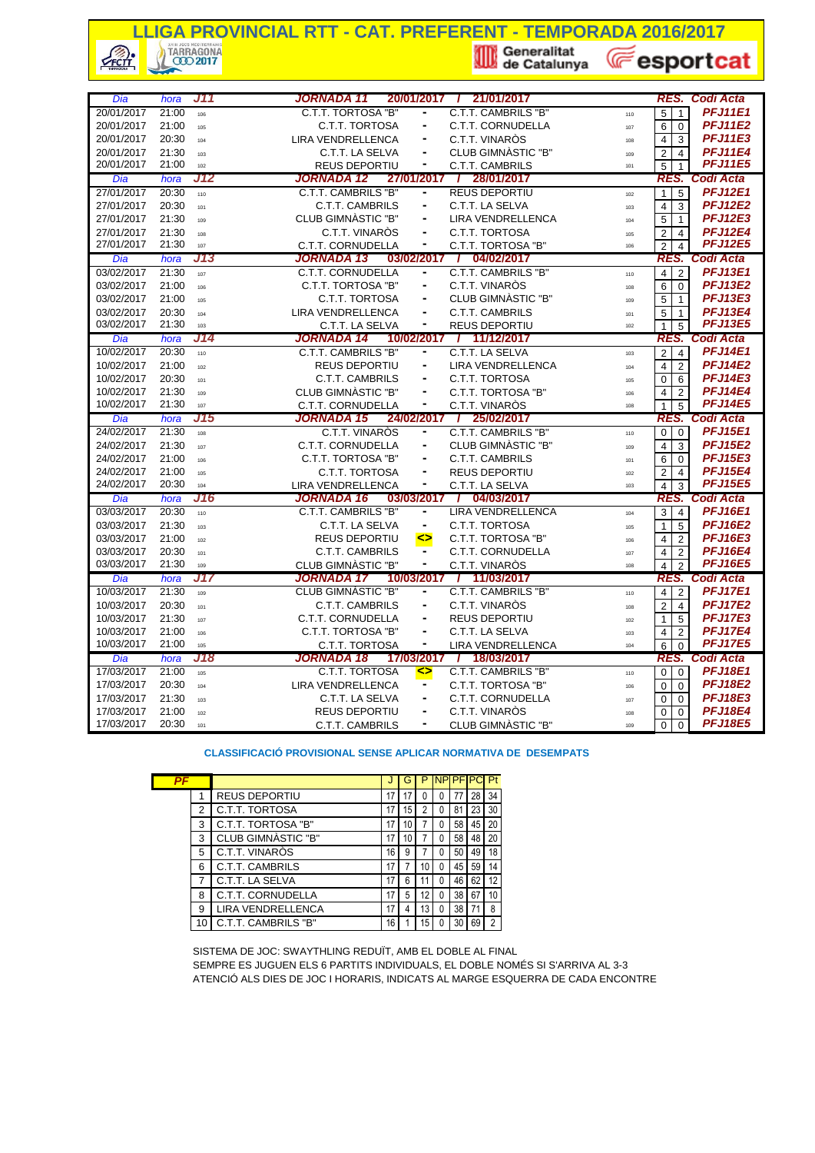## **LLIGA PROVINCIAL RTT - CAT. PREFERENT - TEMPORADA 2016/2017**<br> **A TARRAGONA**<br> **A GEORGE CATE LIGA CONSTRUES AND RESPONSE AND RESPONSE AND RESPONSE AND RESPONSE AND RESPONSE AND RESPONSE AND RESPONSE AND RESPONSE AND RESPON**  $\sqrt{\frac{2}{2}}$ **E**esportcat

| Dia                      | hora           | J11        | JORNADA 11<br>20/01/2017                                                        | / 21/01/2017                         | <b>Codi Acta</b><br>RES.                                                                   |
|--------------------------|----------------|------------|---------------------------------------------------------------------------------|--------------------------------------|--------------------------------------------------------------------------------------------|
| 20/01/2017               | 21:00          | 106        | C.T.T. TORTOSA "B"<br>-                                                         | C.T.T. CAMBRILS "B"                  | <b>PFJ11E1</b><br>$\overline{5}$<br>$\overline{1}$<br>110                                  |
| 20/01/2017               | 21:00          | 105        | C.T.T. TORTOSA<br>۰                                                             | C.T.T. CORNUDELLA                    | <b>PFJ11E2</b><br>6<br>$\Omega$<br>107                                                     |
| 20/01/2017               | 20:30          | 104        | <b>LIRA VENDRELLENCA</b>                                                        | C.T.T. VINARÒS                       | <b>PFJ11E3</b><br>3<br>$\overline{4}$<br>108                                               |
| 20/01/2017               | 21:30          | 103        | C.T.T. LA SELVA<br>ä,                                                           | CLUB GIMNASTIC "B"                   | <b>PFJ11E4</b><br>$\overline{c}$<br>$\overline{4}$<br>109                                  |
| 20/01/2017               | 21:00          | 102        | <b>REUS DEPORTIU</b><br>۰                                                       | <b>C.T.T. CAMBRILS</b>               | <b>PFJ11E5</b><br>5<br>101<br>1                                                            |
| Dia                      | hora           | J12        | <b>JORNADA 12</b>                                                               | 27/01/2017 / 28/01/2017              | RES. Codi Acta                                                                             |
| 27/01/2017               | 20:30          | 110        | C.T.T. CAMBRILS "B"                                                             | <b>REUS DEPORTIU</b>                 | <b>PFJ12E1</b><br>5<br>$\mathbf{1}$<br>102                                                 |
| 27/01/2017               | 20:30          | 101        | <b>C.T.T. CAMBRILS</b><br>$\frac{1}{2}$                                         | C.T.T. LA SELVA                      | <b>PFJ12E2</b><br>$\overline{4}$<br>3<br>103                                               |
| 27/01/2017               | 21:30          | 109        | CLUB GIMNASTIC "B"                                                              | <b>LIRA VENDRELLENCA</b>             | <b>PFJ12E3</b><br>5<br>$\mathbf{1}$<br>104                                                 |
| 27/01/2017               | 21:30          | 108        | C.T.T. VINARÒS<br>$\blacksquare$                                                | C.T.T. TORTOSA                       | <b>PFJ12E4</b><br>2<br>$\overline{4}$<br>105                                               |
| 27/01/2017               | 21:30          | 107        | -<br><b>C.T.T. CORNUDELLA</b>                                                   | C.T.T. TORTOSA "B"                   | <b>PFJ12E5</b><br>2<br>4<br>106                                                            |
| Dia                      | hora           | J13        | <b>JORNADA 13</b>                                                               | 04/02/2017<br>$03/02/2017$ /         | RES. Codi Acta                                                                             |
| 03/02/2017               | 21:30          | 107        | C.T.T. CORNUDELLA<br>۰                                                          | C.T.T. CAMBRILS "B"                  | <b>PFJ13E1</b><br>$\overline{2}$<br>4<br>110                                               |
| 03/02/2017               | 21:00          | 106        | C.T.T. TORTOSA "B"<br>۰                                                         | C.T.T. VINARÒS                       | <b>PFJ13E2</b><br>6<br>$\Omega$<br>108                                                     |
| 03/02/2017               | 21:00          | 105        | C.T.T. TORTOSA<br>۰                                                             | CLUB GIMNASTIC "B"                   | <b>PFJ13E3</b><br>5<br>$\mathbf{1}$<br>109                                                 |
| 03/02/2017               | 20:30          | 104        | <b>LIRA VENDRELLENCA</b>                                                        | <b>C.T.T. CAMBRILS</b>               | <b>PFJ13E4</b><br>5<br>$\mathbf{1}$<br>101                                                 |
| 03/02/2017               | 21:30          | 103        | C.T.T. LA SELVA<br>۰                                                            | <b>REUS DEPORTIU</b>                 | <b>PFJ13E5</b><br>$\mathbf{1}$<br>5<br>102                                                 |
| Dia                      | hora           | J14        | JORNADA 14<br>10/02/2017                                                        | 11/12/2017                           | <b>Codi Acta</b><br>RES.                                                                   |
| 10/02/2017               | 20:30          | 110        | <b>C.T.T. CAMBRILS "B"</b><br>۰                                                 | C.T.T. LA SELVA                      | <b>PFJ14E1</b><br>$\overline{2}$<br>$\overline{4}$<br>103                                  |
| 10/02/2017               | 21:00          | 102        | <b>REUS DEPORTIU</b><br>۰                                                       | <b>LIRA VENDRELLENCA</b>             | <b>PFJ14E2</b><br>$\overline{4}$<br>$\overline{2}$<br>104                                  |
| 10/02/2017               | 20:30          | 101        | <b>C.T.T. CAMBRILS</b><br>$\overline{\phantom{0}}$                              | C.T.T. TORTOSA                       | <b>PFJ14E3</b><br>$\mathbf 0$<br>6<br>105                                                  |
| 10/02/2017               | 21:30          | 109        | CLUB GIMNASTIC "B"<br>ä,                                                        | C.T.T. TORTOSA "B"                   | <b>PFJ14E4</b><br>$\overline{4}$<br>$\overline{2}$<br>106                                  |
| 10/02/2017               | 21:30          | 107        | <b>C.T.T. CORNUDELLA</b>                                                        | C.T.T. VINARÒS                       | <b>PFJ14E5</b><br>$\mathbf{1}$<br>5<br>108                                                 |
|                          |                |            |                                                                                 |                                      |                                                                                            |
| Dia                      | hora           | J15        | <b>JORNADA 15</b>                                                               | 24/02/2017 / 25/02/2017              | RES. Codi Acta                                                                             |
| 24/02/2017               | 21:30          | 108        | C.T.T. VINARÓS                                                                  | C.T.T. CAMBRILS "B"                  | <b>PFJ15E1</b><br>$\overline{0}$<br>$\mathbf 0$<br>110                                     |
| 24/02/2017               | 21:30          | 107        | C.T.T. CORNUDELLA<br>$\frac{1}{2}$                                              | CLUB GIMNASTIC "B"                   | <b>PFJ15E2</b><br>$\overline{4}$<br>3<br>109                                               |
| 24/02/2017               | 21:00          | 106        | C.T.T. TORTOSA "B"                                                              | <b>C.T.T. CAMBRILS</b>               | <b>PFJ15E3</b><br>6<br>$\Omega$<br>101                                                     |
| 24/02/2017               | 21:00          | 105        | C.T.T. TORTOSA                                                                  | <b>REUS DEPORTIU</b>                 | <b>PFJ15E4</b><br>2<br>$\overline{4}$<br>102                                               |
| 24/02/2017               | 20:30          | 104        | -<br>LIRA VENDRELLENCA                                                          | C.T.T. LA SELVA                      | <b>PFJ15E5</b><br>$\overline{4}$<br>3<br>103                                               |
| Dia                      | hora           | J16        | <b>JORNADA 16</b>                                                               | 03/03/2017 /<br>04/03/2017           | RES. Codi Acta                                                                             |
| 03/03/2017               | 20:30          | 110        | C.T.T. CAMBRILS "B"<br>٠                                                        | <b>LIRA VENDRELLENCA</b>             | <b>PFJ16E1</b><br>3<br>$\overline{4}$<br>104                                               |
| 03/03/2017               | 21:30          | 103        | C.T.T. LA SELVA<br>$\frac{1}{2}$                                                | C.T.T. TORTOSA                       | <b>PFJ16E2</b><br>5<br>$\mathbf{1}$<br>105                                                 |
| 03/03/2017               | 21:00          | 102        | <b>REUS DEPORTIU</b><br>                                                        | C.T.T. TORTOSA "B"                   | <b>PFJ16E3</b><br>$\overline{2}$<br>4<br>106                                               |
| 03/03/2017               | 20:30          | 101        | <b>C.T.T. CAMBRILS</b>                                                          | C.T.T. CORNUDELLA                    | <b>PFJ16E4</b><br>4<br>$\overline{2}$<br>107                                               |
| 03/03/2017               | 21:30          | 109        | CLUB GIMNASTIC "B"<br>$\blacksquare$                                            | C.T.T. VINARÒS                       | <b>PFJ16E5</b><br>$\overline{4}$<br>$\overline{2}$<br>108                                  |
| Dia                      | hora           | J17        | 10/03/2017<br>JORNADA 17                                                        | / 11/03/2017                         | <b>Codi Acta</b><br>RES.                                                                   |
| 10/03/2017               | 21:30          | 109        | <b>CLUB GIMNASTIC "B"</b><br>$\qquad \qquad \blacksquare$                       | C.T.T. CAMBRILS "B"                  | <b>PFJ17E1</b><br>$\overline{2}$<br>$\overline{4}$<br>110                                  |
| 10/03/2017               | 20:30          | 101        | <b>C.T.T. CAMBRILS</b>                                                          | C.T.T. VINARÒS                       | <b>PFJ17E2</b><br>$\overline{2}$<br>$\overline{4}$<br>108                                  |
| 10/03/2017               | 21:30          | 107        | C.T.T. CORNUDELLA<br>$\overline{\phantom{0}}$                                   | <b>REUS DEPORTIU</b>                 | <b>PFJ17E3</b><br>$\overline{5}$<br>$\mathbf{1}$<br>102                                    |
| 10/03/2017               | 21:00          | 106        | C.T.T. TORTOSA "B"<br>ä,                                                        | C.T.T. LA SELVA                      | <b>PFJ17E4</b><br>$\overline{2}$<br>$\overline{4}$<br>103                                  |
| 10/03/2017               | 21:00          | 105        | C.T.T. TORTOSA<br>-                                                             | <b>LIRA VENDRELLENCA</b>             | <b>PFJ17E5</b><br>6<br>$\overline{0}$<br>104                                               |
| Dia                      | hora           | J18        | <b>JORNADA 18</b>                                                               | 17/03/2017 / 18/03/2017              | RES. Codi Acta                                                                             |
| 17/03/2017               | 21:00          | 105        | <b>C.T.T. TORTOSA</b><br>                                                       | C.T.T. CAMBRILS "B"                  | <b>PFJ18E1</b><br>$\overline{0}$<br>$\mathbf 0$<br>110                                     |
| 17/03/2017               | 20:30          | 104        | <b>LIRA VENDRELLENCA</b><br>۰                                                   | C.T.T. TORTOSA "B"                   | <b>PFJ18E2</b><br>$\mathbf 0$<br>$\Omega$<br>106                                           |
| 17/03/2017               | 21:30          | 103        | C.T.T. LA SELVA                                                                 | C.T.T. CORNUDELLA                    | <b>PFJ18E3</b><br>0<br>$\Omega$<br>107                                                     |
| 17/03/2017<br>17/03/2017 | 21:00<br>20:30 | 102<br>101 | <b>REUS DEPORTIU</b><br>$\overline{\phantom{0}}$<br><b>C.T.T. CAMBRILS</b><br>۰ | C.T.T. VINARÒS<br>CLUB GIMNASTIC "B" | <b>PFJ18E4</b><br>0<br>$\Omega$<br>108<br><b>PFJ18E5</b><br>$\mathbf 0$<br>$\Omega$<br>109 |

#### **CLASSIFICACIÓ PROVISIONAL SENSE APLICAR NORMATIVA DE DESEMPATS**

| PF |    |                        |    | G  | Р  | <b>NP PF P</b> |    |    | Pt |
|----|----|------------------------|----|----|----|----------------|----|----|----|
|    |    | <b>REUS DEPORTIU</b>   | 17 |    | 0  | 0              |    | 28 | 34 |
|    | 2  | C.T.T. TORTOSA         | 17 | 15 | 2  | 0              | 81 | 23 | 30 |
|    | 3  | C.T.T. TORTOSA "B"     | 17 | 10 |    | 0              | 58 | 45 | 20 |
|    | 3  | CLUB GIMNASTIC "B"     | 17 | 10 |    | 0              | 58 | 48 | 20 |
|    | 5  | C.T.T. VINARÒS         | 16 | 9  |    | 0              | 50 | 49 | 18 |
|    | 6  | <b>C.T.T. CAMBRILS</b> | 17 |    | 10 | 0              | 45 | 59 | 14 |
|    | 7  | C.T.T. LA SELVA        | 17 | 6  |    | 0              | 46 | 62 | 12 |
|    | 8  | C.T.T. CORNUDELLA      | 17 | 5  | 12 | 0              | 38 | 67 | 10 |
|    | 9  | LIRA VENDRELLENCA      | 17 | 4  | 13 | 0              | 38 |    | 8  |
|    | 10 | C.T.T. CAMBRILS "B"    | 16 |    | 15 |                | 30 | 69 | 2  |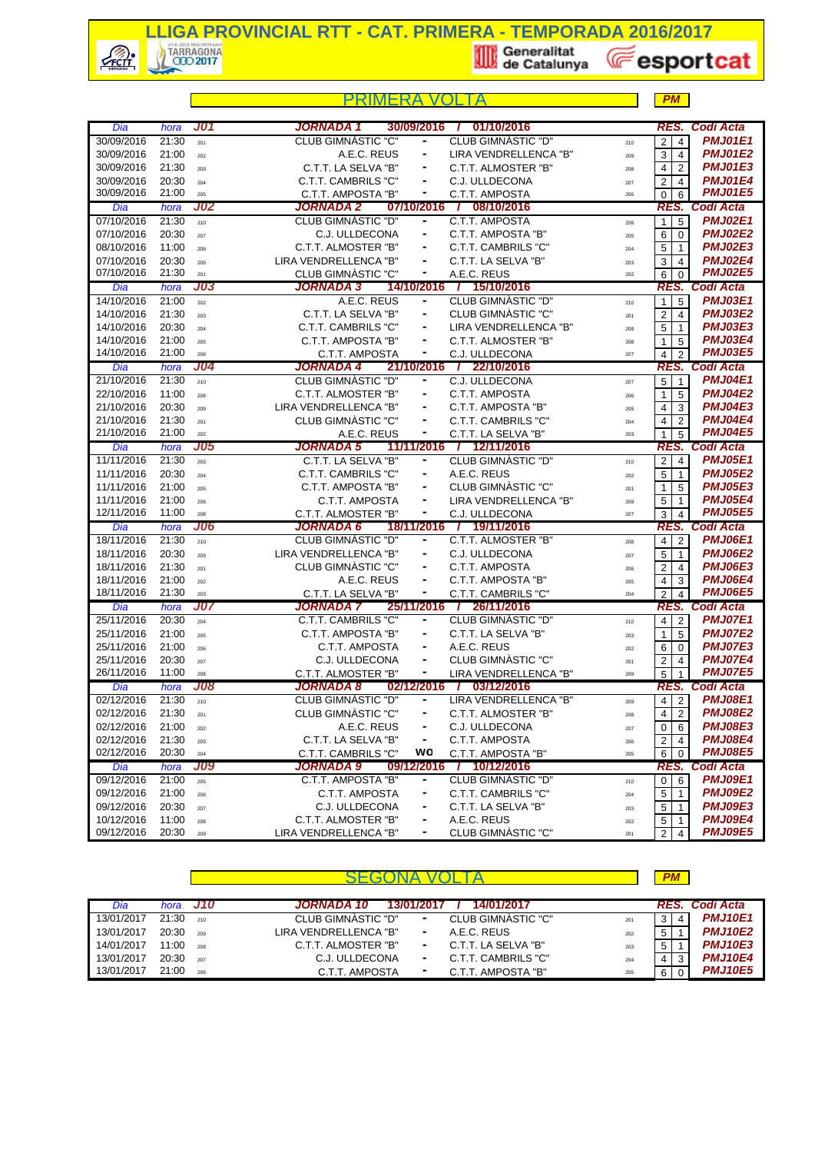

|                          |                            |            |                                                |        |                                         |            | PM                                                            |                                  |
|--------------------------|----------------------------|------------|------------------------------------------------|--------|-----------------------------------------|------------|---------------------------------------------------------------|----------------------------------|
|                          |                            |            | JORNADA 1                                      |        |                                         |            |                                                               | <b>RES. Codi Acta</b>            |
| Dia<br>30/09/2016        | hora<br>21:30              | J01        | 30/09/2016<br><b>CLUB GIMNASTIC "C"</b>        | ٠      | 01/10/2016<br><b>CLUB GIMNASTIC "D"</b> |            | $\overline{4}$                                                | <b>PMJ01E1</b>                   |
| 30/09/2016               | 21:00                      | 201        | A.E.C. REUS                                    |        | LIRA VENDRELLENCA "B"                   | 210        | $\overline{\mathbf{c}}$<br>3<br>$\overline{4}$                | <b>PMJ01E2</b>                   |
| 30/09/2016               | 21:30                      | 202        | C.T.T. LA SELVA "B"                            | ۰      | C.T.T. ALMOSTER "B"                     | 209        |                                                               | <b>PMJ01E3</b>                   |
| 30/09/2016               | 20:30                      | 203        | <b>C.T.T. CAMBRILS "C"</b>                     | ۰      | C.J. ULLDECONA                          | 208        | 4<br>$\overline{2}$                                           | <b>PMJ01E4</b>                   |
| 30/09/2016               | 21:00                      | 204<br>205 | C.T.T. AMPOSTA "B"                             | ۰      | C.T.T. AMPOSTA                          | 207<br>206 | $\overline{\mathbf{c}}$<br>4<br>$\overline{6}$<br>$\mathbf 0$ | <b>PMJ01E5</b>                   |
| Dia                      | hora                       | <b>J02</b> | JORNADA 2<br>07/10/2016                        |        | 08/10/2016<br>$\mathbf{I}$              |            | RES.                                                          | <b>Codi Acta</b>                 |
| 07/10/2016               | 21:30                      | 210        | CLUB GIMNASTIC "D"                             | ٠      | C.T.T. AMPOSTA                          | 206        | 5<br>$\overline{1}$                                           | <b>PMJ02E1</b>                   |
| 07/10/2016               | 20:30                      | 207        | C.J. ULLDECONA                                 | ۰      | C.T.T. AMPOSTA "B"                      | 205        | 6<br>$\mathbf 0$                                              | <b>PMJ02E2</b>                   |
| 08/10/2016               | 11:00                      | 208        | C.T.T. ALMOSTER "B"                            | -      | C.T.T. CAMBRILS "C"                     | 204        | 5<br>$\mathbf{1}$                                             | <b>PMJ02E3</b>                   |
| 07/10/2016               | 20:30                      | 209        | LIRA VENDRELLENCA "B"                          | -      | C.T.T. LA SELVA "B"                     | 203        | 3<br>$\overline{4}$                                           | <b>PMJ02E4</b>                   |
| 07/10/2016               | 21:30                      | 201        | CLUB GIMNASTIC "C"                             | ۰      | A.E.C. REUS                             | 202        | 6<br>$\mathbf 0$                                              | <b>PMJ02E5</b>                   |
| Dia                      | hora                       | <b>J03</b> | <b>JORNADA 3</b><br>14/10/2016                 |        | / 15/10/2016                            |            |                                                               | <b>RES. Codi Acta</b>            |
| 14/10/2016               | 21:00                      | 202        | A.E.C. REUS                                    | ٠      | CLUB GIMNASTIC "D"                      | 210        | 1<br>5                                                        | <b>PMJ03E1</b>                   |
| 14/10/2016               | 21:30                      | 203        | C.T.T. LA SELVA "B"                            | ۰      | CLUB GIMNASTIC "C"                      | 201        | $\overline{c}$<br>$\overline{4}$                              | <b>PMJ03E2</b>                   |
| 14/10/2016               | 20:30                      | 204        | <b>C.T.T. CAMBRILS "C"</b>                     | ۰      | LIRA VENDRELLENCA "B"                   | 209        | 5<br>$\overline{1}$                                           | <b>PMJ03E3</b>                   |
| 14/10/2016               | 21:00                      | 205        | C.T.T. AMPOSTA "B"                             | ۰      | C.T.T. ALMOSTER "B"                     | 208        | 5<br>1                                                        | <b>PMJ03E4</b>                   |
| 14/10/2016               | 21:00                      | 206        | C.T.T. AMPOSTA                                 | ۰      | C.J. ULLDECONA                          | 207        | $\overline{4}$<br>$\overline{2}$                              | <b>PMJ03E5</b>                   |
| Dia                      | hora                       | J04        | JORNADA 4<br>21/10/2016                        |        | / 22/10/2016                            |            |                                                               | RES. Codi Acta                   |
| 21/10/2016               | 21:30                      | 210        | CLUB GIMNASTIC "D"                             |        | C.J. ULLDECONA                          | 207        | 5<br>$\overline{1}$                                           | <b>PMJ04E1</b>                   |
| 22/10/2016               | 11:00                      | 208        | C.T.T. ALMOSTER "B"                            | ۰      | C.T.T. AMPOSTA                          | 206        | 5<br>1                                                        | <b>PMJ04E2</b>                   |
| 21/10/2016               | 20:30                      | 209        | LIRA VENDRELLENCA "B"                          | ۰      | C.T.T. AMPOSTA "B"                      | 205        | 3<br>4                                                        | <b>PMJ04E3</b>                   |
| 21/10/2016               | 21:30                      | 201        | CLUB GIMNÀSTIC "C"                             |        | C.T.T. CAMBRILS "C"                     | 204        | $\overline{4}$<br>$\overline{2}$                              | <b>PMJ04E4</b>                   |
| 21/10/2016               | 21:00                      | 202        | A.E.C. REUS                                    | ۰      | C.T.T. LA SELVA "B"                     | 203        | 5<br>$\mathbf{1}$                                             | <b>PMJ04E5</b>                   |
| Dia                      | hora                       | J05        | <b>JORNADA 5</b><br>11/11/2016                 |        | / 12/11/2016                            |            |                                                               | RES. Codi Acta                   |
| 11/11/2016               | 21:30                      | 203        | C.T.T. LA SELVA "B"                            | ۰      | <b>CLUB GIMNASTIC "D"</b>               | 210        | $\boldsymbol{2}$<br>$\overline{4}$                            | <b>PMJ05E1</b>                   |
| 11/11/2016               | 20:30                      | 204        | C.T.T. CAMBRILS "C"                            |        | A.E.C. REUS                             | 202        | 5<br>$\overline{1}$                                           | <b>PMJ05E2</b>                   |
| 11/11/2016               | 21:00                      | 205        | C.T.T. AMPOSTA "B"                             | ۰      | CLUB GIMNASTIC "C"                      | 201        | 5<br>1                                                        | <b>PMJ05E3</b>                   |
| 11/11/2016               | 21:00                      | 206        | C.T.T. AMPOSTA                                 | ۰      | LIRA VENDRELLENCA "B"                   | 209        | 5<br>$\overline{1}$                                           | <b>PMJ05E4</b>                   |
| 12/11/2016               | 11:00                      | 208        | C.T.T. ALMOSTER "B"                            | ٠      | C.J. ULLDECONA                          | 207        | 3<br>$\overline{4}$                                           | <b>PMJ05E5</b>                   |
| Dia                      | hora                       | <b>J06</b> | 18/11/2016<br>JORNADA 6                        |        | / 19/11/2016                            |            | RES.                                                          | Codi Acta                        |
| 18/11/2016               | 21:30                      | 210        | <b>CLUB GIMNASTIC "D"</b>                      | ۰      | C.T.T. ALMOSTER "B"                     | 208        | $\overline{2}$<br>$\overline{4}$                              | <b>PMJ06E1</b>                   |
| 18/11/2016               | 20:30                      | 209        | LIRA VENDRELLENCA "B"                          | ۰      | C.J. ULLDECONA                          | 207        | 5<br>$\overline{1}$                                           | <b>PMJ06E2</b>                   |
| 18/11/2016               | 21:30                      | 201        | CLUB GIMNASTIC "C"                             | ۰      | C.T.T. AMPOSTA                          | 206        | $\overline{\mathbf{c}}$<br>4                                  | <b>PMJ06E3</b>                   |
| 18/11/2016               | 21:00                      | 202        | A.E.C. REUS                                    | -      | C.T.T. AMPOSTA "B"                      | 205        | $\overline{\mathbf{4}}$<br>3                                  | <b>PMJ06E4</b>                   |
| 18/11/2016               | 21:30                      | 203        | C.T.T. LA SELVA "B"                            |        | C.T.T. CAMBRILS "C"                     | 204        | 2<br>$\overline{4}$                                           | <b>PMJ06E5</b>                   |
| Dia                      | hora                       | J07        | 25/11/2016 /<br>JORNADA 7                      |        | 26/11/2016                              |            |                                                               | RES. Codi Acta                   |
| 25/11/2016               | 20:30                      | 204        | C.T.T. CAMBRILS "C"                            | -      | CLUB GIMNASTIC "D"                      | 210        | 4<br>$\overline{2}$                                           | <b>PMJ07E1</b><br><b>PMJ07E2</b> |
| 25/11/2016               | 21:00                      | 205        | C.T.T. AMPOSTA "B"                             | ۰      | C.T.T. LA SELVA "B"                     | 203        | 5<br>1                                                        | <b>PMJ07E3</b>                   |
| 25/11/2016               | 21:00                      | 206        | C.T.T. AMPOSTA                                 | ۰<br>- | A.E.C. REUS                             | 202        | 6<br>$\mathbf 0$                                              | <b>PMJ07E4</b>                   |
| 25/11/2016<br>26/11/2016 | 20:30<br>11:00             | 207        | C.J. ULLDECONA                                 | ۰      | CLUB GIMNASTIC "C"                      | 201        | $\overline{c}$<br>$\overline{4}$                              | <b>PMJ07E5</b>                   |
|                          |                            | 208<br>J08 | C.T.T. ALMOSTER "B"<br>02/12/2016<br>JORNADA 8 |        | LIRA VENDRELLENCA "B"<br>03/12/2016     | 209        | 5                                                             | RES. Codi Acta                   |
| Dia<br>02/12/2016        | hora<br>$\overline{2}1:30$ |            | <b>CLUB GIMNASTIC "D"</b>                      | ۰      | LIRA VENDRELLENCA "B"                   |            | $4 \mid$<br>2                                                 | <b>PMJ08E1</b>                   |
| 02/12/2016               | 21:30                      | 210        | <b>CLUB GIMNASTIC "C"</b>                      | ۰      | C.T.T. ALMOSTER "B"                     | 209        | $\overline{2}$<br>4                                           | <b>PMJ08E2</b>                   |
| 02/12/2016               | 21:00                      | 201<br>202 | A.E.C. REUS                                    | ۰      | C.J. ULLDECONA                          | 208<br>207 | 0<br>6                                                        | <b>PMJ08E3</b>                   |
| 02/12/2016               | 21:30                      | 203        | C.T.T. LA SELVA "B"                            | ۰      | C.T.T. AMPOSTA                          | 206        | 2<br>4                                                        | <b>PMJ08E4</b>                   |
| 02/12/2016               | 20:30                      | 204        | C.T.T. CAMBRILS "C"                            | wo     | C.T.T. AMPOSTA "B"                      | 205        | 6<br>$\mathbf 0$                                              | <b>PMJ08E5</b>                   |
| Dia                      | hora                       | <b>J09</b> | 09/12/2016<br>JORNADA 9                        |        | / 10/12/2016                            |            |                                                               | RES. Codi Acta                   |
| 09/12/2016               | 21:00                      | 205        | C.T.T. AMPOSTA "B"                             |        | CLUB GIMNASTIC "D"                      | 210        | 6<br>0                                                        | <b>PMJ09E1</b>                   |
| 09/12/2016               | 21:00                      | 206        | <b>C.T.T. AMPOSTA</b>                          | ۰      | C.T.T. CAMBRILS "C"                     | 204        | 5<br>$\overline{1}$                                           | <b>PMJ09E2</b>                   |
| 09/12/2016               | 20:30                      | 207        | C.J. ULLDECONA                                 |        | C.T.T. LA SELVA "B"                     | 203        | 5<br>$\overline{1}$                                           | <b>PMJ09E3</b>                   |
| 10/12/2016               | 11:00                      | 208        | C.T.T. ALMOSTER "B"                            | ۰      | A.E.C. REUS                             | 202        | 5<br>$\overline{1}$                                           | <b>PMJ09E4</b>                   |
| 09/12/2016               | 20:30                      | 209        | LIRA VENDRELLENCA "B"                          | ٠      | CLUB GIMNASTIC "C"                      | 201        | $\overline{2}$<br>$\overline{4}$                              | <b>PMJ09E5</b>                   |

| Dia        | hora  | - J10 | 14/01/2017<br><b>JORNADA 10</b><br>13/01/2017          |                |   | RES. Codi Acta |
|------------|-------|-------|--------------------------------------------------------|----------------|---|----------------|
| 13/01/2017 | 21:30 | 210   | CLUB GIMNASTIC "D"<br>CLUB GIMNASTIC "C"<br>۰<br>201   | 3 <sub>1</sub> |   | <b>PMJ10E1</b> |
| 13/01/2017 | 20:30 | 209   | LIRA VENDRELLENCA "B"<br>A.E.C. REUS<br>۰<br>202       | 5              |   | <b>PMJ10E2</b> |
| 14/01/2017 | 11:00 | 208   | C.T.T. ALMOSTER "B"<br>C.T.T. LA SELVA "B"<br>۰<br>203 | 5              |   | <b>PMJ10E3</b> |
| 13/01/2017 | 20:30 | 207   | C.T.T. CAMBRILS "C"<br>C.J. ULLDECONA<br>۰<br>204      | 4              | 3 | <b>PMJ10E4</b> |
| 13/01/2017 | 21:00 | 206   | C.T.T. AMPOSTA "B"<br>C.T.T. AMPOSTA<br>۰<br>205       | 6              |   | <b>PMJ10E5</b> |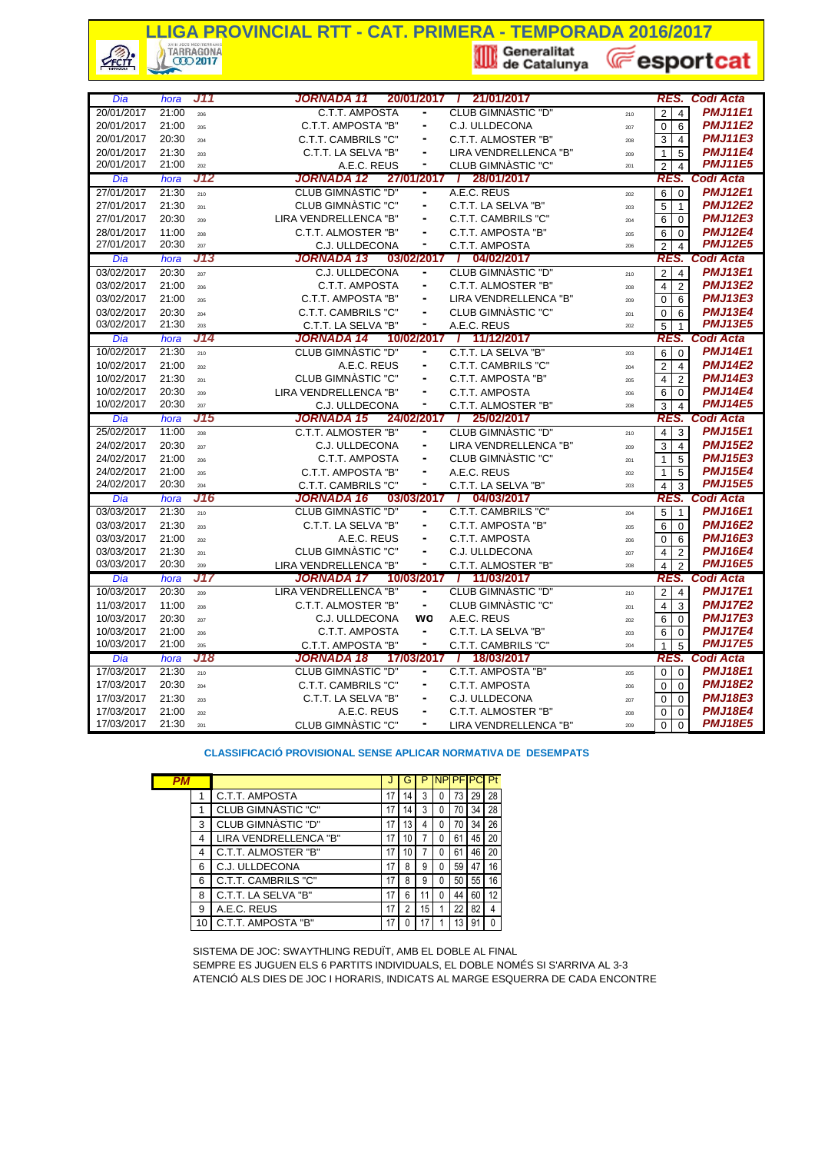# **LLIGA PROVINCIAL RTT - CAT. PRIMERA - TEMPORADA 2016/2017**<br>A TARRAGONA<br>COD 2017

 $\mathcal{L}_{\text{FCTI}}$ TARRAGONA COD 2017

de Catalunya

**E**esportcat

*Dia hora J11* **/** *RES. Codi Acta JORNADA 11* **20/01/2017 21/01/2017** 20/01/2017 21:00 <sup>206</sup> **-** <sup>210</sup> 2 4 *PMJ11E1* C.T.T. AMPOSTA CLUB GIMNÀSTIC "D" 20/01/2017 21:00 <sup>205</sup> **-** <sup>207</sup> 0 6 *PMJ11E2* C.T.T. AMPOSTA "B" C.J. ULLDECONA 20/01/2017 20:30 <sup>204</sup> **-** <sup>208</sup> 3 4 *PMJ11E3* C.T.T. CAMBRILS "C" C.T.T. ALMOSTER "B" 20/01/2017 21:30 <sup>203</sup> **-** <sup>209</sup> 1 5 *PMJ11E4* C.T.T. LA SELVA "B" LIRA VENDRELLENCA "B" 20/01/2017 21:00 <sup>202</sup> **-** <sup>201</sup> 2 4 *PMJ11E5* A.E.C. REUS CLUB GIMNÀSTIC "C" *Dia hora J12* **/** *RES. Codi Acta JORNADA 12* **27/01/2017 28/01/2017** 27/01/2017 21:30 <sup>210</sup> **-** <sup>202</sup> 6 0 *PMJ12E1* CLUB GIMNÀSTIC "D" A.E.C. REUS 27/01/2017 21:30 <sup>201</sup> **-** <sup>203</sup> 5 1 *PMJ12E2* CLUB GIMNÀSTIC "C" C.T.T. LA SELVA "B" 27/01/2017 20:30 <sup>209</sup> **-** <sup>204</sup> 6 0 *PMJ12E3* LIRA VENDRELLENCA "B" C.T.T. CAMBRILS "C" 28/01/2017 11:00 <sup>208</sup> **-** <sup>205</sup> 6 0 *PMJ12E4* 27/01/2017 20:30 <sup>207</sup> **-** <sup>206</sup> 2 4 *PMJ12E5* C.J. ULLDECONA C.T.T. AMPOSTA *Dia hora J13* **/** *RES. Codi Acta JORNADA 13* **03/02/2017 04/02/2017** 03/02/2017 20:30 <sup>207</sup> **-** <sup>210</sup> 2 4 *PMJ13E1* C.J. ULLDECONA CLUB GIMNÀSTIC "D" 03/02/2017 21:00 <sup>206</sup> **-** <sup>208</sup> 4 2 *PMJ13E2* 03/02/2017 21:00 <sup>205</sup> **-** <sup>209</sup> 0 6 *PMJ13E3* C.T.T. AMPOSTA "B" LIRA VENDRELLENCA "B" 03/02/2017 20:30 <sup>204</sup> **-** <sup>201</sup> 0 6 *PMJ13E4* C.T.T. CAMBRILS "C" CLUB GIMNÀSTIC "C" 03/02/2017 21:30 <sup>203</sup> **-** <sup>202</sup> 5 1 *PMJ13E5* C.T.T. LA SELVA "B" A.E.C. REUS *Dia hora J14* **/** *RES. Codi Acta JORNADA 14* **10/02/2017 11/12/2017** 10/02/2017 21:30 <sup>210</sup> **-** <sup>203</sup> 6 0 *PMJ14E1* CLUB GIMNÀSTIC "D" C.T.T. LA SELVA "B" 10/02/2017 21:00 <sup>202</sup> **-** <sup>204</sup> 2 4 *PMJ14E2* A.E.C. REUS C.T.T. CAMBRILS "C" 10/02/2017 21:30 <sup>201</sup> **-** <sup>205</sup> 4 2 *PMJ14E3* CLUB GIMNÀSTIC "C" C.T.T. AMPOSTA "B" 10/02/2017 20:30 <sup>209</sup> **-** <sup>206</sup> 6 0 *PMJ14E4* LIRA VENDRELLENCA "B" C.T.T. AMPOSTA 10/02/2017 20:30 207 **- 20:30 2017 C.J. ULLDECONA** - C.T.T. ALMOSTER "B" 208 <sup>3</sup> 3 4 **PMJ14E5** *Dia hora J15* **/** *RES. Codi Acta JORNADA 15* **24/02/2017 25/02/2017** 25/02/2017 11:00 <sup>208</sup> **-** <sup>210</sup> 4 3 *PMJ15E1* C.T.T. ALMOSTER "B" CLUB GIMNÀSTIC "D" 24/02/2017 20:30 <sup>207</sup> **-** <sup>209</sup> 3 4 *PMJ15E2* C.J. ULLDECONA LIRA VENDRELLENCA "B" 24/02/2017 21:00 <sup>206</sup> **-** <sup>201</sup> 1 5 *PMJ15E3* C.T.T. AMPOSTA CLUB GIMNÀSTIC "C" 24/02/2017 21:00 <sup>205</sup> **-** <sup>202</sup> 1 5 *PMJ15E4* C.T.T. AMPOSTA "B" A.E.C. REUS 24/02/2017 20:30 <sup>204</sup> **-** <sup>203</sup> 4 3 *PMJ15E5* C.T.T. CAMBRILS "C" C.T.T. LA SELVA "B" *Dia hora J16* **/** *RES. Codi Acta JORNADA 16* **03/03/2017 04/03/2017** 03/03/2017 21:30 <sup>210</sup> **-** <sup>204</sup> 5 1 *PMJ16E1* CLUB GIMNÀSTIC "D" C.T.T. CAMBRILS "C" 03/03/2017 21:30 <sub>203</sub> C.T.T. LA SELVA "B" C.T.T. AMPOSTA "B" <sub>205</sub> <mark>6 0 *PMJ16E2*</mark> 03/03/2017 21:00 <sup>202</sup> **-** <sup>206</sup> 0 6 *PMJ16E3* A.E.C. REUS C.T.T. AMPOSTA 03/03/2017 21:30 <sup>201</sup> **-** <sup>207</sup> 4 2 *PMJ16E4* CLUB GIMNÀSTIC "C" C.J. ULLDECONA 03/03/2017 20:30 <sup>209</sup> **-** <sup>208</sup> 4 2 *PMJ16E5* LIRA VENDRELLENCA "B" C.T.T. ALMOSTER "B" *Dia hora J17* **/** *RES. Codi Acta JORNADA 17* **10/03/2017 11/03/2017** 10/03/2017 20:30 209 LIRA VENDRELLENCA "B" - CLUB GIMNASTIC "D" 210 214 **PMJ17E1**<br>11/03/2017 11:00 209 CTT ALMOSTER "R" - CLUB GIMNASTIC "C" 201 4 **PMJ17E2** 11/03/2017 11:00 <sub>208</sub> **C.T.T. ALMOSTER "B" - CLUB GIMNASTIC "C"** 201 **4 3** 10/03/2017 20:30 <sup>207</sup> **wo** <sup>202</sup> 6 0 *PMJ17E3* C.J. ULLDECONA A.E.C. REUS 10/03/2017 21:00 <sup>206</sup> **-** <sup>203</sup> 6 0 *PMJ17E4* 10/03/2017 21:00 <sup>205</sup> **-** <sup>204</sup> 1 5 *PMJ17E5* C.T.T. AMPOSTA "B" C.T.T. CAMBRILS "C" *Dia hora J18* **/** *RES. Codi Acta JORNADA 18* **17/03/2017 18/03/2017** 17/03/2017 21:30 <sup>210</sup> **-** <sup>205</sup> 0 0 *PMJ18E1* CLUB GIMNÀSTIC "D" C.T.T. AMPOSTA "B" 17/03/2017 20:30 <sup>204</sup> **-** <sup>206</sup> 0 0 *PMJ18E2* C.T.T. CAMBRILS "C" C.T.T. AMPOSTA 17/03/2017 21:30 <sup>203</sup> **-** <sup>207</sup> 0 0 *PMJ18E3* C.T.T. LA SELVA "B" C.J. ULLDECONA 17/03/2017 21:00 <sup>202</sup> **-** <sup>208</sup> 0 0 *PMJ18E4* A.E.C. REUS C.T.T. ALMOSTER "B" C.T.T. AMPOSTA - C.T.T. ALMOSTER "B" C.T.T. ALMOSTER "B" C.J. ULLDECONA C.T.T. ALMOSTER "B" CLUB GIMNÀSTIC "D CLUB GIMNÀSTIC "C" C.T.T. AMPOSTA C.T.T. LA SELVA "B"

**CLASSIFICACIÓ PROVISIONAL SENSE APLICAR NORMATIVA DE DESEMPATS**

17/03/2017 21:30 <sup>201</sup> **-** <sup>209</sup> 0 0 *PMJ18E5* CLUB GIMNÀSTIC "C" LIRA VENDRELLENCA "B"

| PМ |    |                       |    | G  | P  | <b>NPIPF</b> |    | P  | Pt |
|----|----|-----------------------|----|----|----|--------------|----|----|----|
|    |    | C.T.T. AMPOSTA        | 17 | 14 | 3  | 0            | 73 | 29 | 28 |
|    | 1  | CLUB GIMNASTIC "C"    | 17 | 14 | 3  | 0            | 70 | 34 | 28 |
|    | 3  | CLUB GIMNASTIC "D"    | 17 | 13 |    | 0            | 70 | 34 | 26 |
|    | 4  | LIRA VENDRELLENCA "B" | 17 | 10 |    | 0            | 61 | 45 | 20 |
|    | 4  | C.T.T. ALMOSTER "B"   | 17 | 10 |    | 0            | 61 | 46 | 20 |
|    | 6  | C.J. ULLDECONA        | 17 | 8  | 9  | 0            | 59 | 47 | 16 |
|    | 6  | C.T.T. CAMBRILS "C"   | 17 | 8  | 9  | 0            | 50 | 55 | 16 |
|    | 8  | C.T.T. LA SELVA "B"   | 17 | 6  |    | 0            | 44 | 60 | 12 |
|    | 9  | A.E.C. REUS           | 17 |    | 15 |              | 22 | 82 |    |
|    | 10 | C.T.T. AMPOSTA "B"    | 17 |    |    |              | 13 | 91 |    |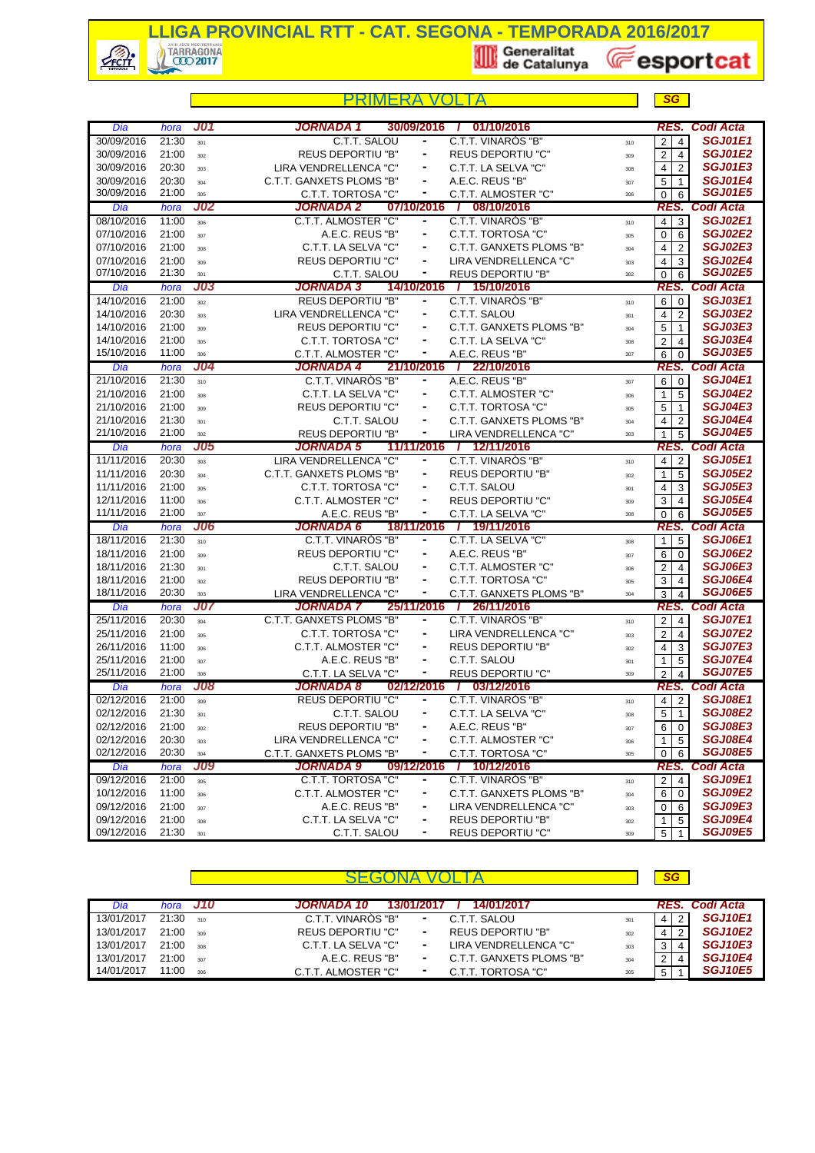

**LLIGA PROVINCIAL RTT - CAT. SEGONA - TEMPORADA 2016/2017**<br>A TARRAGONA<br>**Example 10 de Catalunya** (Catalunga)

**E**esportcat

| J01<br>JORNADA 1<br>30/09/2016<br>01/10/2016<br>RES. Codi Acta<br>Dia<br>hora<br>C.T.T. SALOU<br>C.T.T. VINAROS "B"<br><b>SGJ01E1</b><br>30/09/2016<br>21:30<br>$\overline{4}$<br>2 <sub>1</sub><br>۰<br>301<br>310<br><b>SGJ01E2</b><br>21:00<br><b>REUS DEPORTIU "B"</b><br><b>REUS DEPORTIU "C"</b><br>30/09/2016<br>2 <sub>1</sub><br>$\overline{4}$<br>$\blacksquare$<br>302<br>309<br><b>SGJ01E3</b><br>LIRA VENDRELLENCA "C"<br>C.T.T. LA SELVA "C"<br>30/09/2016<br>20:30<br>4<br>$\overline{2}$<br>٠<br>303<br>308<br><b>SGJ01E4</b><br>30/09/2016<br>20:30<br>C.T.T. GANXETS PLOMS "B"<br>A.E.C. REUS "B"<br>5<br>$\blacksquare$<br>$\overline{1}$<br>304<br>307<br>30/09/2016<br>21:00<br><b>SGJ01E5</b><br>C.T.T. TORTOSA "C"<br>۰<br>C.T.T. ALMOSTER "C"<br>6<br>305<br>$\overline{0}$<br>306<br>Codi Acta<br><b>J02</b><br>JORNADA 2<br>07/10/2016<br>08/10/2016<br>Dia<br>RES.<br>hora<br><b>SGJ02E1</b><br>08/10/2016<br><b>C.T.T. ALMOSTER "C"</b><br>C.T.T. VINARÒS "B"<br>11:00<br>$4 \mid 3$<br>306<br>۰<br>310<br><b>SGJ02E2</b><br>07/10/2016<br>21:00<br>A.E.C. REUS "B"<br>C.T.T. TORTOSA "C"<br>$\blacksquare$<br>$\mathbf 0$<br>6<br>307<br>305<br><b>SGJ02E3</b><br>07/10/2016<br>21:00<br>C.T.T. LA SELVA "C"<br>C.T.T. GANXETS PLOMS "B"<br>$\overline{2}$<br>4<br>308<br>304<br><b>SGJ02E4</b><br>07/10/2016<br>21:00<br><b>REUS DEPORTIU "C"</b><br>LIRA VENDRELLENCA "C"<br>۰<br>4<br>3<br>309<br>303<br><b>SGJ02E5</b><br>07/10/2016<br>21:30<br><b>REUS DEPORTIU "B"</b><br>C.T.T. SALOU<br>٠<br>301<br>6<br>$\overline{0}$<br>302<br><b>J03</b><br>JORNADA 3<br>Codi Acta<br>14/10/2016<br>/ 15/10/2016<br>Dia<br>hora<br>RES.<br><b>SGJ03E1</b><br>14/10/2016<br>21:00<br><b>REUS DEPORTIU "B"</b><br>C.T.T. VINAROS "B"<br>٠<br>6<br>$\mathbf 0$<br>302<br>310<br><b>SGJ03E2</b><br>14/10/2016<br>20:30<br>LIRA VENDRELLENCA "C"<br>C.T.T. SALOU<br>$\overline{2}$<br>۰<br>4 <sup>1</sup><br>303<br>301<br><b>SGJ03E3</b><br>14/10/2016<br>21:00<br><b>REUS DEPORTIU "C"</b><br>C.T.T. GANXETS PLOMS "B"<br>5<br>٠<br>$\mathbf{1}$<br>309<br>304<br><b>SGJ03E4</b><br>C.T.T. TORTOSA "C"<br>C.T.T. LA SELVA "C"<br>14/10/2016<br>21:00<br>$\overline{\mathbf{c}}$<br>$\blacksquare$<br>$\overline{4}$<br>305<br>308<br><b>SGJ03E5</b><br>15/10/2016<br>11:00<br>C.T.T. ALMOSTER "C"<br>۰<br>A.E.C. REUS "B"<br>$\overline{6}$<br>306<br>$\mathbf 0$<br>307<br><b>J04</b><br>Codi Acta<br>JORNADA 4<br>21/10/2016<br>/ 22/10/2016<br>RES.<br>Dia<br>hora<br>C.T.T. VINAROS "B"<br>A.E.C. REUS "B"<br><b>SGJ04E1</b><br>21/10/2016<br>21:30<br>$6 \mid 0$<br>۰<br>310<br>307<br><b>SGJ04E2</b><br>21/10/2016<br>21:00<br>C.T.T. LA SELVA "C"<br>C.T.T. ALMOSTER "C"<br>$\overline{\phantom{a}}$<br>5<br>$\mathbf{1}$<br>308<br>306<br><b>SGJ04E3</b><br>21/10/2016<br>21:00<br><b>REUS DEPORTIU "C"</b><br>C.T.T. TORTOSA "C"<br>5<br>309<br>۰<br>$\mathbf{1}$<br>305<br><b>SGJ04E4</b><br>21/10/2016<br>21:30<br>C.T.T. SALOU<br>C.T.T. GANXETS PLOMS "B"<br>$\overline{4}$<br>$\overline{2}$<br>301<br>304<br>21/10/2016<br><b>SGJ04E5</b><br>21:00<br>٠<br><b>REUS DEPORTIU "B"</b><br>LIRA VENDRELLENCA "C"<br>5<br>302<br>$\mathbf{1}$<br>303<br><b>J05</b><br>11/11/2016<br>RES. Codi Acta<br>hora<br>JORNADA 5<br>/ 12/11/2016<br>Dia<br>LIRA VENDRELLENCA "C"<br><b>SGJ05E1</b><br>11/11/2016<br>20:30<br>C.T.T. VINARÓS "B"<br>$\overline{2}$<br>٠<br>$\overline{4}$<br>303<br>310<br><b>SGJ05E2</b><br>11/11/2016<br>20:30<br>C.T.T. GANXETS PLOMS "B"<br><b>REUS DEPORTIU "B"</b><br>٠<br>$\mathbf{1}$<br>5<br>304<br>302<br><b>SGJ05E3</b><br>11/11/2016<br>21:00<br>C.T.T. TORTOSA "C"<br>C.T.T. SALOU<br>$\overline{\mathbf{4}}$<br>3<br>305<br>301<br><b>SGJ05E4</b><br>C.T.T. ALMOSTER "C"<br><b>REUS DEPORTIU "C"</b><br>12/11/2016<br>11:00<br>3<br>$\blacksquare$<br>$\overline{4}$<br>306<br>309<br><b>SGJ05E5</b><br>11/11/2016<br>21:00<br>A.E.C. REUS "B"<br>C.T.T. LA SELVA "C"<br>۰<br>$\overline{0}$<br>6<br>307<br>308<br><b>J06</b><br><b>JORNADA 6</b><br>18/11/2016<br><b>Codi Acta</b><br>19/11/2016<br>RES.<br>Dia<br>hora<br>$\mathbf{I}$<br>C.T.T. VINARÓS "B"<br>C.T.T. LA SELVA "C"<br><b>SGJ06E1</b><br>18/11/2016<br>21:30<br>$\overline{5}$<br>۰<br>$\mathbf{1}$<br>310<br>308<br><b>SGJ06E2</b><br>21:00<br><b>REUS DEPORTIU "C"</b><br>A.E.C. REUS "B"<br>18/11/2016<br>6<br>٠<br>$\mathbf 0$<br>309<br>307<br><b>SGJ06E3</b><br>18/11/2016<br>21:30<br>C.T.T. SALOU<br>C.T.T. ALMOSTER "C"<br>$\overline{\mathbf{c}}$<br>$\blacksquare$<br>$\overline{4}$<br>301<br>306<br><b>REUS DEPORTIU "B"</b><br><b>SGJ06E4</b><br>18/11/2016<br>21:00<br>C.T.T. TORTOSA "C"<br>3<br>$\overline{4}$<br>302<br>305<br>18/11/2016<br><b>SGJ06E5</b><br>20:30<br>LIRA VENDRELLENCA "C"<br>C.T.T. GANXETS PLOMS "B"<br>303<br>3<br>4<br>304<br>RES. Codi Acta<br>J07<br>JORNADA 7<br>25/11/2016<br>Dia<br>hora<br>$\top$<br>26/11/2016<br><b>SGJ07E1</b><br><b>C.T.T. GANXETS PLOMS "B"</b><br>C.T.T. VINARÒS "B"<br>25/11/2016<br>20:30<br>$2^{\circ}$<br>$\overline{4}$<br>۰<br>304<br>310<br><b>SGJ07E2</b><br>25/11/2016<br>21:00<br>C.T.T. TORTOSA "C"<br>LIRA VENDRELLENCA "C"<br>۰<br>2 <sup>1</sup><br>$\overline{4}$<br>305<br>303<br><b>SGJ07E3</b><br>11:00<br>26/11/2016<br>C.T.T. ALMOSTER "C"<br><b>REUS DEPORTIU "B"</b><br>$\overline{4}$<br>٠<br>3<br>306<br>302<br><b>SGJ07E4</b><br>A.E.C. REUS "B"<br>C.T.T. SALOU<br>25/11/2016<br>21:00<br>5<br>$\mathbf{1}$<br>307<br>301<br><b>SGJ07E5</b><br>25/11/2016<br>21:00<br><b>REUS DEPORTIU "C"</b><br>C.T.T. LA SELVA "C"<br>۰<br>$\overline{2}$<br>308<br>$\overline{\mathbf{A}}$<br>309<br>J08<br>02/12/2016<br>Codi Acta<br>JORNADA 8<br>03/12/2016<br>RES.<br>Dia<br>hora<br>$\mathbf{I}$<br><b>REUS DEPORTIU "C"</b><br><b>SGJ08E1</b><br>02/12/2016<br>$\overline{2}1:00$<br>C.T.T. VINAROS "B"<br>4 <sup>1</sup><br>2<br>۰<br>309<br>310<br><b>SGJ08E2</b><br>02/12/2016<br>21:30<br>C.T.T. SALOU<br>C.T.T. LA SELVA "C"<br>5 <sub>1</sub><br>$\mathbf{1}$<br>301<br>308<br><b>SGJ08E3</b><br>02/12/2016<br>21:00<br>REUS DEPORTIU "B"<br>A.E.C. REUS "B"<br>6 <sup>1</sup><br>0<br>۰<br>302<br>307<br><b>SGJ08E4</b><br>02/12/2016<br>20:30<br>LIRA VENDRELLENCA "C"<br>C.T.T. ALMOSTER "C"<br>5<br>1<br>303<br>306<br>02/12/2016<br>20:30<br><b>SGJ08E5</b><br>C.T.T. TORTOSA "C"<br>304<br>C.T.T. GANXETS PLOMS "B"<br>٠<br>6<br>$\overline{0}$<br>305<br><b>J09</b><br><b>JORNADA 9</b><br>09/12/2016<br>/ 10/12/2016<br><b>RES. Codi Acta</b><br>Dia<br>hora<br><b>SGJ09E1</b><br>09/12/2016<br>C.T.T. TORTOSA "C"<br>C.T.T. VINAROS "B"<br>21:00<br>2 <sub>1</sub><br>$\overline{4}$<br>۰<br>305<br>310<br><b>SGJ09E2</b><br>10/12/2016<br>11:00<br>C.T.T. ALMOSTER "C"<br>C.T.T. GANXETS PLOMS "B"<br>$6 \mid$<br>٠<br>0<br>306<br>304<br><b>SGJ09E3</b><br>09/12/2016<br>21:00<br>A.E.C. REUS "B"<br>LIRA VENDRELLENCA "C"<br>$\overline{0}$<br>307<br>۰<br>6<br>303<br><b>SGJ09E4</b><br>09/12/2016<br>21:00<br>C.T.T. LA SELVA "C"<br><b>REUS DEPORTIU "B"</b><br>٠<br>$\mathbf{1}$<br>5<br>308<br>302<br><b>SGJ09E5</b><br>09/12/2016<br>21:30<br>5 <sup>1</sup><br>301<br>C.T.T. SALOU<br>٠<br><b>REUS DEPORTIU "C"</b><br>$\mathbf{1}$<br>309 |  |  | <b>SG</b> |  |
|-----------------------------------------------------------------------------------------------------------------------------------------------------------------------------------------------------------------------------------------------------------------------------------------------------------------------------------------------------------------------------------------------------------------------------------------------------------------------------------------------------------------------------------------------------------------------------------------------------------------------------------------------------------------------------------------------------------------------------------------------------------------------------------------------------------------------------------------------------------------------------------------------------------------------------------------------------------------------------------------------------------------------------------------------------------------------------------------------------------------------------------------------------------------------------------------------------------------------------------------------------------------------------------------------------------------------------------------------------------------------------------------------------------------------------------------------------------------------------------------------------------------------------------------------------------------------------------------------------------------------------------------------------------------------------------------------------------------------------------------------------------------------------------------------------------------------------------------------------------------------------------------------------------------------------------------------------------------------------------------------------------------------------------------------------------------------------------------------------------------------------------------------------------------------------------------------------------------------------------------------------------------------------------------------------------------------------------------------------------------------------------------------------------------------------------------------------------------------------------------------------------------------------------------------------------------------------------------------------------------------------------------------------------------------------------------------------------------------------------------------------------------------------------------------------------------------------------------------------------------------------------------------------------------------------------------------------------------------------------------------------------------------------------------------------------------------------------------------------------------------------------------------------------------------------------------------------------------------------------------------------------------------------------------------------------------------------------------------------------------------------------------------------------------------------------------------------------------------------------------------------------------------------------------------------------------------------------------------------------------------------------------------------------------------------------------------------------------------------------------------------------------------------------------------------------------------------------------------------------------------------------------------------------------------------------------------------------------------------------------------------------------------------------------------------------------------------------------------------------------------------------------------------------------------------------------------------------------------------------------------------------------------------------------------------------------------------------------------------------------------------------------------------------------------------------------------------------------------------------------------------------------------------------------------------------------------------------------------------------------------------------------------------------------------------------------------------------------------------------------------------------------------------------------------------------------------------------------------------------------------------------------------------------------------------------------------------------------------------------------------------------------------------------------------------------------------------------------------------------------------------------------------------------------------------------------------------------------------------------------------------------------------------------------------------------------------------------------------------------------------------------------------------------------------------------------------------------------------------------------------------------------------------------------------------------------------------------------------------------------------------------------------------------------------------------------------------------------------------------------------------------------------------------------------------------------------------------------------------------------------------------------------------------------------------------------------------------------------------------------------------------------------------------------------------------------------------------------------------------------------------------------------------------------------------------------------------------------------------------------------------------------------------------------------------------------------------------------------------------------------------------------------------------------------------------------------------------------------------------------------------------------------------------------------------------------------------------------------------------------------------------------------------------------------------------------------------------------------------------------------------------------------------------------------------------------------------------------------------------------------------------------------------------------------------------------------------------------------------------------------------------------------------------------------------------------------------------------------------------------------------------------------------------------------------------------------------|--|--|-----------|--|
|                                                                                                                                                                                                                                                                                                                                                                                                                                                                                                                                                                                                                                                                                                                                                                                                                                                                                                                                                                                                                                                                                                                                                                                                                                                                                                                                                                                                                                                                                                                                                                                                                                                                                                                                                                                                                                                                                                                                                                                                                                                                                                                                                                                                                                                                                                                                                                                                                                                                                                                                                                                                                                                                                                                                                                                                                                                                                                                                                                                                                                                                                                                                                                                                                                                                                                                                                                                                                                                                                                                                                                                                                                                                                                                                                                                                                                                                                                                                                                                                                                                                                                                                                                                                                                                                                                                                                                                                                                                                                                                                                                                                                                                                                                                                                                                                                                                                                                                                                                                                                                                                                                                                                                                                                                                                                                                                                                                                                                                                                                                                                                                                                                                                                                                                                                                                                                                                                                                                                                                                                                                                                                                                                                                                                                                                                                                                                                                                                                                                                                                                                                                                                                                                                                                                                                                                                                                                                                                                                                                                                                                                                                                                                                                                     |  |  |           |  |
|                                                                                                                                                                                                                                                                                                                                                                                                                                                                                                                                                                                                                                                                                                                                                                                                                                                                                                                                                                                                                                                                                                                                                                                                                                                                                                                                                                                                                                                                                                                                                                                                                                                                                                                                                                                                                                                                                                                                                                                                                                                                                                                                                                                                                                                                                                                                                                                                                                                                                                                                                                                                                                                                                                                                                                                                                                                                                                                                                                                                                                                                                                                                                                                                                                                                                                                                                                                                                                                                                                                                                                                                                                                                                                                                                                                                                                                                                                                                                                                                                                                                                                                                                                                                                                                                                                                                                                                                                                                                                                                                                                                                                                                                                                                                                                                                                                                                                                                                                                                                                                                                                                                                                                                                                                                                                                                                                                                                                                                                                                                                                                                                                                                                                                                                                                                                                                                                                                                                                                                                                                                                                                                                                                                                                                                                                                                                                                                                                                                                                                                                                                                                                                                                                                                                                                                                                                                                                                                                                                                                                                                                                                                                                                                                     |  |  |           |  |
|                                                                                                                                                                                                                                                                                                                                                                                                                                                                                                                                                                                                                                                                                                                                                                                                                                                                                                                                                                                                                                                                                                                                                                                                                                                                                                                                                                                                                                                                                                                                                                                                                                                                                                                                                                                                                                                                                                                                                                                                                                                                                                                                                                                                                                                                                                                                                                                                                                                                                                                                                                                                                                                                                                                                                                                                                                                                                                                                                                                                                                                                                                                                                                                                                                                                                                                                                                                                                                                                                                                                                                                                                                                                                                                                                                                                                                                                                                                                                                                                                                                                                                                                                                                                                                                                                                                                                                                                                                                                                                                                                                                                                                                                                                                                                                                                                                                                                                                                                                                                                                                                                                                                                                                                                                                                                                                                                                                                                                                                                                                                                                                                                                                                                                                                                                                                                                                                                                                                                                                                                                                                                                                                                                                                                                                                                                                                                                                                                                                                                                                                                                                                                                                                                                                                                                                                                                                                                                                                                                                                                                                                                                                                                                                                     |  |  |           |  |
|                                                                                                                                                                                                                                                                                                                                                                                                                                                                                                                                                                                                                                                                                                                                                                                                                                                                                                                                                                                                                                                                                                                                                                                                                                                                                                                                                                                                                                                                                                                                                                                                                                                                                                                                                                                                                                                                                                                                                                                                                                                                                                                                                                                                                                                                                                                                                                                                                                                                                                                                                                                                                                                                                                                                                                                                                                                                                                                                                                                                                                                                                                                                                                                                                                                                                                                                                                                                                                                                                                                                                                                                                                                                                                                                                                                                                                                                                                                                                                                                                                                                                                                                                                                                                                                                                                                                                                                                                                                                                                                                                                                                                                                                                                                                                                                                                                                                                                                                                                                                                                                                                                                                                                                                                                                                                                                                                                                                                                                                                                                                                                                                                                                                                                                                                                                                                                                                                                                                                                                                                                                                                                                                                                                                                                                                                                                                                                                                                                                                                                                                                                                                                                                                                                                                                                                                                                                                                                                                                                                                                                                                                                                                                                                                     |  |  |           |  |
|                                                                                                                                                                                                                                                                                                                                                                                                                                                                                                                                                                                                                                                                                                                                                                                                                                                                                                                                                                                                                                                                                                                                                                                                                                                                                                                                                                                                                                                                                                                                                                                                                                                                                                                                                                                                                                                                                                                                                                                                                                                                                                                                                                                                                                                                                                                                                                                                                                                                                                                                                                                                                                                                                                                                                                                                                                                                                                                                                                                                                                                                                                                                                                                                                                                                                                                                                                                                                                                                                                                                                                                                                                                                                                                                                                                                                                                                                                                                                                                                                                                                                                                                                                                                                                                                                                                                                                                                                                                                                                                                                                                                                                                                                                                                                                                                                                                                                                                                                                                                                                                                                                                                                                                                                                                                                                                                                                                                                                                                                                                                                                                                                                                                                                                                                                                                                                                                                                                                                                                                                                                                                                                                                                                                                                                                                                                                                                                                                                                                                                                                                                                                                                                                                                                                                                                                                                                                                                                                                                                                                                                                                                                                                                                                     |  |  |           |  |
|                                                                                                                                                                                                                                                                                                                                                                                                                                                                                                                                                                                                                                                                                                                                                                                                                                                                                                                                                                                                                                                                                                                                                                                                                                                                                                                                                                                                                                                                                                                                                                                                                                                                                                                                                                                                                                                                                                                                                                                                                                                                                                                                                                                                                                                                                                                                                                                                                                                                                                                                                                                                                                                                                                                                                                                                                                                                                                                                                                                                                                                                                                                                                                                                                                                                                                                                                                                                                                                                                                                                                                                                                                                                                                                                                                                                                                                                                                                                                                                                                                                                                                                                                                                                                                                                                                                                                                                                                                                                                                                                                                                                                                                                                                                                                                                                                                                                                                                                                                                                                                                                                                                                                                                                                                                                                                                                                                                                                                                                                                                                                                                                                                                                                                                                                                                                                                                                                                                                                                                                                                                                                                                                                                                                                                                                                                                                                                                                                                                                                                                                                                                                                                                                                                                                                                                                                                                                                                                                                                                                                                                                                                                                                                                                     |  |  |           |  |
|                                                                                                                                                                                                                                                                                                                                                                                                                                                                                                                                                                                                                                                                                                                                                                                                                                                                                                                                                                                                                                                                                                                                                                                                                                                                                                                                                                                                                                                                                                                                                                                                                                                                                                                                                                                                                                                                                                                                                                                                                                                                                                                                                                                                                                                                                                                                                                                                                                                                                                                                                                                                                                                                                                                                                                                                                                                                                                                                                                                                                                                                                                                                                                                                                                                                                                                                                                                                                                                                                                                                                                                                                                                                                                                                                                                                                                                                                                                                                                                                                                                                                                                                                                                                                                                                                                                                                                                                                                                                                                                                                                                                                                                                                                                                                                                                                                                                                                                                                                                                                                                                                                                                                                                                                                                                                                                                                                                                                                                                                                                                                                                                                                                                                                                                                                                                                                                                                                                                                                                                                                                                                                                                                                                                                                                                                                                                                                                                                                                                                                                                                                                                                                                                                                                                                                                                                                                                                                                                                                                                                                                                                                                                                                                                     |  |  |           |  |
|                                                                                                                                                                                                                                                                                                                                                                                                                                                                                                                                                                                                                                                                                                                                                                                                                                                                                                                                                                                                                                                                                                                                                                                                                                                                                                                                                                                                                                                                                                                                                                                                                                                                                                                                                                                                                                                                                                                                                                                                                                                                                                                                                                                                                                                                                                                                                                                                                                                                                                                                                                                                                                                                                                                                                                                                                                                                                                                                                                                                                                                                                                                                                                                                                                                                                                                                                                                                                                                                                                                                                                                                                                                                                                                                                                                                                                                                                                                                                                                                                                                                                                                                                                                                                                                                                                                                                                                                                                                                                                                                                                                                                                                                                                                                                                                                                                                                                                                                                                                                                                                                                                                                                                                                                                                                                                                                                                                                                                                                                                                                                                                                                                                                                                                                                                                                                                                                                                                                                                                                                                                                                                                                                                                                                                                                                                                                                                                                                                                                                                                                                                                                                                                                                                                                                                                                                                                                                                                                                                                                                                                                                                                                                                                                     |  |  |           |  |
|                                                                                                                                                                                                                                                                                                                                                                                                                                                                                                                                                                                                                                                                                                                                                                                                                                                                                                                                                                                                                                                                                                                                                                                                                                                                                                                                                                                                                                                                                                                                                                                                                                                                                                                                                                                                                                                                                                                                                                                                                                                                                                                                                                                                                                                                                                                                                                                                                                                                                                                                                                                                                                                                                                                                                                                                                                                                                                                                                                                                                                                                                                                                                                                                                                                                                                                                                                                                                                                                                                                                                                                                                                                                                                                                                                                                                                                                                                                                                                                                                                                                                                                                                                                                                                                                                                                                                                                                                                                                                                                                                                                                                                                                                                                                                                                                                                                                                                                                                                                                                                                                                                                                                                                                                                                                                                                                                                                                                                                                                                                                                                                                                                                                                                                                                                                                                                                                                                                                                                                                                                                                                                                                                                                                                                                                                                                                                                                                                                                                                                                                                                                                                                                                                                                                                                                                                                                                                                                                                                                                                                                                                                                                                                                                     |  |  |           |  |
|                                                                                                                                                                                                                                                                                                                                                                                                                                                                                                                                                                                                                                                                                                                                                                                                                                                                                                                                                                                                                                                                                                                                                                                                                                                                                                                                                                                                                                                                                                                                                                                                                                                                                                                                                                                                                                                                                                                                                                                                                                                                                                                                                                                                                                                                                                                                                                                                                                                                                                                                                                                                                                                                                                                                                                                                                                                                                                                                                                                                                                                                                                                                                                                                                                                                                                                                                                                                                                                                                                                                                                                                                                                                                                                                                                                                                                                                                                                                                                                                                                                                                                                                                                                                                                                                                                                                                                                                                                                                                                                                                                                                                                                                                                                                                                                                                                                                                                                                                                                                                                                                                                                                                                                                                                                                                                                                                                                                                                                                                                                                                                                                                                                                                                                                                                                                                                                                                                                                                                                                                                                                                                                                                                                                                                                                                                                                                                                                                                                                                                                                                                                                                                                                                                                                                                                                                                                                                                                                                                                                                                                                                                                                                                                                     |  |  |           |  |
|                                                                                                                                                                                                                                                                                                                                                                                                                                                                                                                                                                                                                                                                                                                                                                                                                                                                                                                                                                                                                                                                                                                                                                                                                                                                                                                                                                                                                                                                                                                                                                                                                                                                                                                                                                                                                                                                                                                                                                                                                                                                                                                                                                                                                                                                                                                                                                                                                                                                                                                                                                                                                                                                                                                                                                                                                                                                                                                                                                                                                                                                                                                                                                                                                                                                                                                                                                                                                                                                                                                                                                                                                                                                                                                                                                                                                                                                                                                                                                                                                                                                                                                                                                                                                                                                                                                                                                                                                                                                                                                                                                                                                                                                                                                                                                                                                                                                                                                                                                                                                                                                                                                                                                                                                                                                                                                                                                                                                                                                                                                                                                                                                                                                                                                                                                                                                                                                                                                                                                                                                                                                                                                                                                                                                                                                                                                                                                                                                                                                                                                                                                                                                                                                                                                                                                                                                                                                                                                                                                                                                                                                                                                                                                                                     |  |  |           |  |
|                                                                                                                                                                                                                                                                                                                                                                                                                                                                                                                                                                                                                                                                                                                                                                                                                                                                                                                                                                                                                                                                                                                                                                                                                                                                                                                                                                                                                                                                                                                                                                                                                                                                                                                                                                                                                                                                                                                                                                                                                                                                                                                                                                                                                                                                                                                                                                                                                                                                                                                                                                                                                                                                                                                                                                                                                                                                                                                                                                                                                                                                                                                                                                                                                                                                                                                                                                                                                                                                                                                                                                                                                                                                                                                                                                                                                                                                                                                                                                                                                                                                                                                                                                                                                                                                                                                                                                                                                                                                                                                                                                                                                                                                                                                                                                                                                                                                                                                                                                                                                                                                                                                                                                                                                                                                                                                                                                                                                                                                                                                                                                                                                                                                                                                                                                                                                                                                                                                                                                                                                                                                                                                                                                                                                                                                                                                                                                                                                                                                                                                                                                                                                                                                                                                                                                                                                                                                                                                                                                                                                                                                                                                                                                                                     |  |  |           |  |
|                                                                                                                                                                                                                                                                                                                                                                                                                                                                                                                                                                                                                                                                                                                                                                                                                                                                                                                                                                                                                                                                                                                                                                                                                                                                                                                                                                                                                                                                                                                                                                                                                                                                                                                                                                                                                                                                                                                                                                                                                                                                                                                                                                                                                                                                                                                                                                                                                                                                                                                                                                                                                                                                                                                                                                                                                                                                                                                                                                                                                                                                                                                                                                                                                                                                                                                                                                                                                                                                                                                                                                                                                                                                                                                                                                                                                                                                                                                                                                                                                                                                                                                                                                                                                                                                                                                                                                                                                                                                                                                                                                                                                                                                                                                                                                                                                                                                                                                                                                                                                                                                                                                                                                                                                                                                                                                                                                                                                                                                                                                                                                                                                                                                                                                                                                                                                                                                                                                                                                                                                                                                                                                                                                                                                                                                                                                                                                                                                                                                                                                                                                                                                                                                                                                                                                                                                                                                                                                                                                                                                                                                                                                                                                                                     |  |  |           |  |
|                                                                                                                                                                                                                                                                                                                                                                                                                                                                                                                                                                                                                                                                                                                                                                                                                                                                                                                                                                                                                                                                                                                                                                                                                                                                                                                                                                                                                                                                                                                                                                                                                                                                                                                                                                                                                                                                                                                                                                                                                                                                                                                                                                                                                                                                                                                                                                                                                                                                                                                                                                                                                                                                                                                                                                                                                                                                                                                                                                                                                                                                                                                                                                                                                                                                                                                                                                                                                                                                                                                                                                                                                                                                                                                                                                                                                                                                                                                                                                                                                                                                                                                                                                                                                                                                                                                                                                                                                                                                                                                                                                                                                                                                                                                                                                                                                                                                                                                                                                                                                                                                                                                                                                                                                                                                                                                                                                                                                                                                                                                                                                                                                                                                                                                                                                                                                                                                                                                                                                                                                                                                                                                                                                                                                                                                                                                                                                                                                                                                                                                                                                                                                                                                                                                                                                                                                                                                                                                                                                                                                                                                                                                                                                                                     |  |  |           |  |
|                                                                                                                                                                                                                                                                                                                                                                                                                                                                                                                                                                                                                                                                                                                                                                                                                                                                                                                                                                                                                                                                                                                                                                                                                                                                                                                                                                                                                                                                                                                                                                                                                                                                                                                                                                                                                                                                                                                                                                                                                                                                                                                                                                                                                                                                                                                                                                                                                                                                                                                                                                                                                                                                                                                                                                                                                                                                                                                                                                                                                                                                                                                                                                                                                                                                                                                                                                                                                                                                                                                                                                                                                                                                                                                                                                                                                                                                                                                                                                                                                                                                                                                                                                                                                                                                                                                                                                                                                                                                                                                                                                                                                                                                                                                                                                                                                                                                                                                                                                                                                                                                                                                                                                                                                                                                                                                                                                                                                                                                                                                                                                                                                                                                                                                                                                                                                                                                                                                                                                                                                                                                                                                                                                                                                                                                                                                                                                                                                                                                                                                                                                                                                                                                                                                                                                                                                                                                                                                                                                                                                                                                                                                                                                                                     |  |  |           |  |
|                                                                                                                                                                                                                                                                                                                                                                                                                                                                                                                                                                                                                                                                                                                                                                                                                                                                                                                                                                                                                                                                                                                                                                                                                                                                                                                                                                                                                                                                                                                                                                                                                                                                                                                                                                                                                                                                                                                                                                                                                                                                                                                                                                                                                                                                                                                                                                                                                                                                                                                                                                                                                                                                                                                                                                                                                                                                                                                                                                                                                                                                                                                                                                                                                                                                                                                                                                                                                                                                                                                                                                                                                                                                                                                                                                                                                                                                                                                                                                                                                                                                                                                                                                                                                                                                                                                                                                                                                                                                                                                                                                                                                                                                                                                                                                                                                                                                                                                                                                                                                                                                                                                                                                                                                                                                                                                                                                                                                                                                                                                                                                                                                                                                                                                                                                                                                                                                                                                                                                                                                                                                                                                                                                                                                                                                                                                                                                                                                                                                                                                                                                                                                                                                                                                                                                                                                                                                                                                                                                                                                                                                                                                                                                                                     |  |  |           |  |
|                                                                                                                                                                                                                                                                                                                                                                                                                                                                                                                                                                                                                                                                                                                                                                                                                                                                                                                                                                                                                                                                                                                                                                                                                                                                                                                                                                                                                                                                                                                                                                                                                                                                                                                                                                                                                                                                                                                                                                                                                                                                                                                                                                                                                                                                                                                                                                                                                                                                                                                                                                                                                                                                                                                                                                                                                                                                                                                                                                                                                                                                                                                                                                                                                                                                                                                                                                                                                                                                                                                                                                                                                                                                                                                                                                                                                                                                                                                                                                                                                                                                                                                                                                                                                                                                                                                                                                                                                                                                                                                                                                                                                                                                                                                                                                                                                                                                                                                                                                                                                                                                                                                                                                                                                                                                                                                                                                                                                                                                                                                                                                                                                                                                                                                                                                                                                                                                                                                                                                                                                                                                                                                                                                                                                                                                                                                                                                                                                                                                                                                                                                                                                                                                                                                                                                                                                                                                                                                                                                                                                                                                                                                                                                                                     |  |  |           |  |
|                                                                                                                                                                                                                                                                                                                                                                                                                                                                                                                                                                                                                                                                                                                                                                                                                                                                                                                                                                                                                                                                                                                                                                                                                                                                                                                                                                                                                                                                                                                                                                                                                                                                                                                                                                                                                                                                                                                                                                                                                                                                                                                                                                                                                                                                                                                                                                                                                                                                                                                                                                                                                                                                                                                                                                                                                                                                                                                                                                                                                                                                                                                                                                                                                                                                                                                                                                                                                                                                                                                                                                                                                                                                                                                                                                                                                                                                                                                                                                                                                                                                                                                                                                                                                                                                                                                                                                                                                                                                                                                                                                                                                                                                                                                                                                                                                                                                                                                                                                                                                                                                                                                                                                                                                                                                                                                                                                                                                                                                                                                                                                                                                                                                                                                                                                                                                                                                                                                                                                                                                                                                                                                                                                                                                                                                                                                                                                                                                                                                                                                                                                                                                                                                                                                                                                                                                                                                                                                                                                                                                                                                                                                                                                                                     |  |  |           |  |
|                                                                                                                                                                                                                                                                                                                                                                                                                                                                                                                                                                                                                                                                                                                                                                                                                                                                                                                                                                                                                                                                                                                                                                                                                                                                                                                                                                                                                                                                                                                                                                                                                                                                                                                                                                                                                                                                                                                                                                                                                                                                                                                                                                                                                                                                                                                                                                                                                                                                                                                                                                                                                                                                                                                                                                                                                                                                                                                                                                                                                                                                                                                                                                                                                                                                                                                                                                                                                                                                                                                                                                                                                                                                                                                                                                                                                                                                                                                                                                                                                                                                                                                                                                                                                                                                                                                                                                                                                                                                                                                                                                                                                                                                                                                                                                                                                                                                                                                                                                                                                                                                                                                                                                                                                                                                                                                                                                                                                                                                                                                                                                                                                                                                                                                                                                                                                                                                                                                                                                                                                                                                                                                                                                                                                                                                                                                                                                                                                                                                                                                                                                                                                                                                                                                                                                                                                                                                                                                                                                                                                                                                                                                                                                                                     |  |  |           |  |
|                                                                                                                                                                                                                                                                                                                                                                                                                                                                                                                                                                                                                                                                                                                                                                                                                                                                                                                                                                                                                                                                                                                                                                                                                                                                                                                                                                                                                                                                                                                                                                                                                                                                                                                                                                                                                                                                                                                                                                                                                                                                                                                                                                                                                                                                                                                                                                                                                                                                                                                                                                                                                                                                                                                                                                                                                                                                                                                                                                                                                                                                                                                                                                                                                                                                                                                                                                                                                                                                                                                                                                                                                                                                                                                                                                                                                                                                                                                                                                                                                                                                                                                                                                                                                                                                                                                                                                                                                                                                                                                                                                                                                                                                                                                                                                                                                                                                                                                                                                                                                                                                                                                                                                                                                                                                                                                                                                                                                                                                                                                                                                                                                                                                                                                                                                                                                                                                                                                                                                                                                                                                                                                                                                                                                                                                                                                                                                                                                                                                                                                                                                                                                                                                                                                                                                                                                                                                                                                                                                                                                                                                                                                                                                                                     |  |  |           |  |
|                                                                                                                                                                                                                                                                                                                                                                                                                                                                                                                                                                                                                                                                                                                                                                                                                                                                                                                                                                                                                                                                                                                                                                                                                                                                                                                                                                                                                                                                                                                                                                                                                                                                                                                                                                                                                                                                                                                                                                                                                                                                                                                                                                                                                                                                                                                                                                                                                                                                                                                                                                                                                                                                                                                                                                                                                                                                                                                                                                                                                                                                                                                                                                                                                                                                                                                                                                                                                                                                                                                                                                                                                                                                                                                                                                                                                                                                                                                                                                                                                                                                                                                                                                                                                                                                                                                                                                                                                                                                                                                                                                                                                                                                                                                                                                                                                                                                                                                                                                                                                                                                                                                                                                                                                                                                                                                                                                                                                                                                                                                                                                                                                                                                                                                                                                                                                                                                                                                                                                                                                                                                                                                                                                                                                                                                                                                                                                                                                                                                                                                                                                                                                                                                                                                                                                                                                                                                                                                                                                                                                                                                                                                                                                                                     |  |  |           |  |
|                                                                                                                                                                                                                                                                                                                                                                                                                                                                                                                                                                                                                                                                                                                                                                                                                                                                                                                                                                                                                                                                                                                                                                                                                                                                                                                                                                                                                                                                                                                                                                                                                                                                                                                                                                                                                                                                                                                                                                                                                                                                                                                                                                                                                                                                                                                                                                                                                                                                                                                                                                                                                                                                                                                                                                                                                                                                                                                                                                                                                                                                                                                                                                                                                                                                                                                                                                                                                                                                                                                                                                                                                                                                                                                                                                                                                                                                                                                                                                                                                                                                                                                                                                                                                                                                                                                                                                                                                                                                                                                                                                                                                                                                                                                                                                                                                                                                                                                                                                                                                                                                                                                                                                                                                                                                                                                                                                                                                                                                                                                                                                                                                                                                                                                                                                                                                                                                                                                                                                                                                                                                                                                                                                                                                                                                                                                                                                                                                                                                                                                                                                                                                                                                                                                                                                                                                                                                                                                                                                                                                                                                                                                                                                                                     |  |  |           |  |
|                                                                                                                                                                                                                                                                                                                                                                                                                                                                                                                                                                                                                                                                                                                                                                                                                                                                                                                                                                                                                                                                                                                                                                                                                                                                                                                                                                                                                                                                                                                                                                                                                                                                                                                                                                                                                                                                                                                                                                                                                                                                                                                                                                                                                                                                                                                                                                                                                                                                                                                                                                                                                                                                                                                                                                                                                                                                                                                                                                                                                                                                                                                                                                                                                                                                                                                                                                                                                                                                                                                                                                                                                                                                                                                                                                                                                                                                                                                                                                                                                                                                                                                                                                                                                                                                                                                                                                                                                                                                                                                                                                                                                                                                                                                                                                                                                                                                                                                                                                                                                                                                                                                                                                                                                                                                                                                                                                                                                                                                                                                                                                                                                                                                                                                                                                                                                                                                                                                                                                                                                                                                                                                                                                                                                                                                                                                                                                                                                                                                                                                                                                                                                                                                                                                                                                                                                                                                                                                                                                                                                                                                                                                                                                                                     |  |  |           |  |
|                                                                                                                                                                                                                                                                                                                                                                                                                                                                                                                                                                                                                                                                                                                                                                                                                                                                                                                                                                                                                                                                                                                                                                                                                                                                                                                                                                                                                                                                                                                                                                                                                                                                                                                                                                                                                                                                                                                                                                                                                                                                                                                                                                                                                                                                                                                                                                                                                                                                                                                                                                                                                                                                                                                                                                                                                                                                                                                                                                                                                                                                                                                                                                                                                                                                                                                                                                                                                                                                                                                                                                                                                                                                                                                                                                                                                                                                                                                                                                                                                                                                                                                                                                                                                                                                                                                                                                                                                                                                                                                                                                                                                                                                                                                                                                                                                                                                                                                                                                                                                                                                                                                                                                                                                                                                                                                                                                                                                                                                                                                                                                                                                                                                                                                                                                                                                                                                                                                                                                                                                                                                                                                                                                                                                                                                                                                                                                                                                                                                                                                                                                                                                                                                                                                                                                                                                                                                                                                                                                                                                                                                                                                                                                                                     |  |  |           |  |
|                                                                                                                                                                                                                                                                                                                                                                                                                                                                                                                                                                                                                                                                                                                                                                                                                                                                                                                                                                                                                                                                                                                                                                                                                                                                                                                                                                                                                                                                                                                                                                                                                                                                                                                                                                                                                                                                                                                                                                                                                                                                                                                                                                                                                                                                                                                                                                                                                                                                                                                                                                                                                                                                                                                                                                                                                                                                                                                                                                                                                                                                                                                                                                                                                                                                                                                                                                                                                                                                                                                                                                                                                                                                                                                                                                                                                                                                                                                                                                                                                                                                                                                                                                                                                                                                                                                                                                                                                                                                                                                                                                                                                                                                                                                                                                                                                                                                                                                                                                                                                                                                                                                                                                                                                                                                                                                                                                                                                                                                                                                                                                                                                                                                                                                                                                                                                                                                                                                                                                                                                                                                                                                                                                                                                                                                                                                                                                                                                                                                                                                                                                                                                                                                                                                                                                                                                                                                                                                                                                                                                                                                                                                                                                                                     |  |  |           |  |
|                                                                                                                                                                                                                                                                                                                                                                                                                                                                                                                                                                                                                                                                                                                                                                                                                                                                                                                                                                                                                                                                                                                                                                                                                                                                                                                                                                                                                                                                                                                                                                                                                                                                                                                                                                                                                                                                                                                                                                                                                                                                                                                                                                                                                                                                                                                                                                                                                                                                                                                                                                                                                                                                                                                                                                                                                                                                                                                                                                                                                                                                                                                                                                                                                                                                                                                                                                                                                                                                                                                                                                                                                                                                                                                                                                                                                                                                                                                                                                                                                                                                                                                                                                                                                                                                                                                                                                                                                                                                                                                                                                                                                                                                                                                                                                                                                                                                                                                                                                                                                                                                                                                                                                                                                                                                                                                                                                                                                                                                                                                                                                                                                                                                                                                                                                                                                                                                                                                                                                                                                                                                                                                                                                                                                                                                                                                                                                                                                                                                                                                                                                                                                                                                                                                                                                                                                                                                                                                                                                                                                                                                                                                                                                                                     |  |  |           |  |
|                                                                                                                                                                                                                                                                                                                                                                                                                                                                                                                                                                                                                                                                                                                                                                                                                                                                                                                                                                                                                                                                                                                                                                                                                                                                                                                                                                                                                                                                                                                                                                                                                                                                                                                                                                                                                                                                                                                                                                                                                                                                                                                                                                                                                                                                                                                                                                                                                                                                                                                                                                                                                                                                                                                                                                                                                                                                                                                                                                                                                                                                                                                                                                                                                                                                                                                                                                                                                                                                                                                                                                                                                                                                                                                                                                                                                                                                                                                                                                                                                                                                                                                                                                                                                                                                                                                                                                                                                                                                                                                                                                                                                                                                                                                                                                                                                                                                                                                                                                                                                                                                                                                                                                                                                                                                                                                                                                                                                                                                                                                                                                                                                                                                                                                                                                                                                                                                                                                                                                                                                                                                                                                                                                                                                                                                                                                                                                                                                                                                                                                                                                                                                                                                                                                                                                                                                                                                                                                                                                                                                                                                                                                                                                                                     |  |  |           |  |
|                                                                                                                                                                                                                                                                                                                                                                                                                                                                                                                                                                                                                                                                                                                                                                                                                                                                                                                                                                                                                                                                                                                                                                                                                                                                                                                                                                                                                                                                                                                                                                                                                                                                                                                                                                                                                                                                                                                                                                                                                                                                                                                                                                                                                                                                                                                                                                                                                                                                                                                                                                                                                                                                                                                                                                                                                                                                                                                                                                                                                                                                                                                                                                                                                                                                                                                                                                                                                                                                                                                                                                                                                                                                                                                                                                                                                                                                                                                                                                                                                                                                                                                                                                                                                                                                                                                                                                                                                                                                                                                                                                                                                                                                                                                                                                                                                                                                                                                                                                                                                                                                                                                                                                                                                                                                                                                                                                                                                                                                                                                                                                                                                                                                                                                                                                                                                                                                                                                                                                                                                                                                                                                                                                                                                                                                                                                                                                                                                                                                                                                                                                                                                                                                                                                                                                                                                                                                                                                                                                                                                                                                                                                                                                                                     |  |  |           |  |
|                                                                                                                                                                                                                                                                                                                                                                                                                                                                                                                                                                                                                                                                                                                                                                                                                                                                                                                                                                                                                                                                                                                                                                                                                                                                                                                                                                                                                                                                                                                                                                                                                                                                                                                                                                                                                                                                                                                                                                                                                                                                                                                                                                                                                                                                                                                                                                                                                                                                                                                                                                                                                                                                                                                                                                                                                                                                                                                                                                                                                                                                                                                                                                                                                                                                                                                                                                                                                                                                                                                                                                                                                                                                                                                                                                                                                                                                                                                                                                                                                                                                                                                                                                                                                                                                                                                                                                                                                                                                                                                                                                                                                                                                                                                                                                                                                                                                                                                                                                                                                                                                                                                                                                                                                                                                                                                                                                                                                                                                                                                                                                                                                                                                                                                                                                                                                                                                                                                                                                                                                                                                                                                                                                                                                                                                                                                                                                                                                                                                                                                                                                                                                                                                                                                                                                                                                                                                                                                                                                                                                                                                                                                                                                                                     |  |  |           |  |
|                                                                                                                                                                                                                                                                                                                                                                                                                                                                                                                                                                                                                                                                                                                                                                                                                                                                                                                                                                                                                                                                                                                                                                                                                                                                                                                                                                                                                                                                                                                                                                                                                                                                                                                                                                                                                                                                                                                                                                                                                                                                                                                                                                                                                                                                                                                                                                                                                                                                                                                                                                                                                                                                                                                                                                                                                                                                                                                                                                                                                                                                                                                                                                                                                                                                                                                                                                                                                                                                                                                                                                                                                                                                                                                                                                                                                                                                                                                                                                                                                                                                                                                                                                                                                                                                                                                                                                                                                                                                                                                                                                                                                                                                                                                                                                                                                                                                                                                                                                                                                                                                                                                                                                                                                                                                                                                                                                                                                                                                                                                                                                                                                                                                                                                                                                                                                                                                                                                                                                                                                                                                                                                                                                                                                                                                                                                                                                                                                                                                                                                                                                                                                                                                                                                                                                                                                                                                                                                                                                                                                                                                                                                                                                                                     |  |  |           |  |
|                                                                                                                                                                                                                                                                                                                                                                                                                                                                                                                                                                                                                                                                                                                                                                                                                                                                                                                                                                                                                                                                                                                                                                                                                                                                                                                                                                                                                                                                                                                                                                                                                                                                                                                                                                                                                                                                                                                                                                                                                                                                                                                                                                                                                                                                                                                                                                                                                                                                                                                                                                                                                                                                                                                                                                                                                                                                                                                                                                                                                                                                                                                                                                                                                                                                                                                                                                                                                                                                                                                                                                                                                                                                                                                                                                                                                                                                                                                                                                                                                                                                                                                                                                                                                                                                                                                                                                                                                                                                                                                                                                                                                                                                                                                                                                                                                                                                                                                                                                                                                                                                                                                                                                                                                                                                                                                                                                                                                                                                                                                                                                                                                                                                                                                                                                                                                                                                                                                                                                                                                                                                                                                                                                                                                                                                                                                                                                                                                                                                                                                                                                                                                                                                                                                                                                                                                                                                                                                                                                                                                                                                                                                                                                                                     |  |  |           |  |
|                                                                                                                                                                                                                                                                                                                                                                                                                                                                                                                                                                                                                                                                                                                                                                                                                                                                                                                                                                                                                                                                                                                                                                                                                                                                                                                                                                                                                                                                                                                                                                                                                                                                                                                                                                                                                                                                                                                                                                                                                                                                                                                                                                                                                                                                                                                                                                                                                                                                                                                                                                                                                                                                                                                                                                                                                                                                                                                                                                                                                                                                                                                                                                                                                                                                                                                                                                                                                                                                                                                                                                                                                                                                                                                                                                                                                                                                                                                                                                                                                                                                                                                                                                                                                                                                                                                                                                                                                                                                                                                                                                                                                                                                                                                                                                                                                                                                                                                                                                                                                                                                                                                                                                                                                                                                                                                                                                                                                                                                                                                                                                                                                                                                                                                                                                                                                                                                                                                                                                                                                                                                                                                                                                                                                                                                                                                                                                                                                                                                                                                                                                                                                                                                                                                                                                                                                                                                                                                                                                                                                                                                                                                                                                                                     |  |  |           |  |
|                                                                                                                                                                                                                                                                                                                                                                                                                                                                                                                                                                                                                                                                                                                                                                                                                                                                                                                                                                                                                                                                                                                                                                                                                                                                                                                                                                                                                                                                                                                                                                                                                                                                                                                                                                                                                                                                                                                                                                                                                                                                                                                                                                                                                                                                                                                                                                                                                                                                                                                                                                                                                                                                                                                                                                                                                                                                                                                                                                                                                                                                                                                                                                                                                                                                                                                                                                                                                                                                                                                                                                                                                                                                                                                                                                                                                                                                                                                                                                                                                                                                                                                                                                                                                                                                                                                                                                                                                                                                                                                                                                                                                                                                                                                                                                                                                                                                                                                                                                                                                                                                                                                                                                                                                                                                                                                                                                                                                                                                                                                                                                                                                                                                                                                                                                                                                                                                                                                                                                                                                                                                                                                                                                                                                                                                                                                                                                                                                                                                                                                                                                                                                                                                                                                                                                                                                                                                                                                                                                                                                                                                                                                                                                                                     |  |  |           |  |
|                                                                                                                                                                                                                                                                                                                                                                                                                                                                                                                                                                                                                                                                                                                                                                                                                                                                                                                                                                                                                                                                                                                                                                                                                                                                                                                                                                                                                                                                                                                                                                                                                                                                                                                                                                                                                                                                                                                                                                                                                                                                                                                                                                                                                                                                                                                                                                                                                                                                                                                                                                                                                                                                                                                                                                                                                                                                                                                                                                                                                                                                                                                                                                                                                                                                                                                                                                                                                                                                                                                                                                                                                                                                                                                                                                                                                                                                                                                                                                                                                                                                                                                                                                                                                                                                                                                                                                                                                                                                                                                                                                                                                                                                                                                                                                                                                                                                                                                                                                                                                                                                                                                                                                                                                                                                                                                                                                                                                                                                                                                                                                                                                                                                                                                                                                                                                                                                                                                                                                                                                                                                                                                                                                                                                                                                                                                                                                                                                                                                                                                                                                                                                                                                                                                                                                                                                                                                                                                                                                                                                                                                                                                                                                                                     |  |  |           |  |
|                                                                                                                                                                                                                                                                                                                                                                                                                                                                                                                                                                                                                                                                                                                                                                                                                                                                                                                                                                                                                                                                                                                                                                                                                                                                                                                                                                                                                                                                                                                                                                                                                                                                                                                                                                                                                                                                                                                                                                                                                                                                                                                                                                                                                                                                                                                                                                                                                                                                                                                                                                                                                                                                                                                                                                                                                                                                                                                                                                                                                                                                                                                                                                                                                                                                                                                                                                                                                                                                                                                                                                                                                                                                                                                                                                                                                                                                                                                                                                                                                                                                                                                                                                                                                                                                                                                                                                                                                                                                                                                                                                                                                                                                                                                                                                                                                                                                                                                                                                                                                                                                                                                                                                                                                                                                                                                                                                                                                                                                                                                                                                                                                                                                                                                                                                                                                                                                                                                                                                                                                                                                                                                                                                                                                                                                                                                                                                                                                                                                                                                                                                                                                                                                                                                                                                                                                                                                                                                                                                                                                                                                                                                                                                                                     |  |  |           |  |
|                                                                                                                                                                                                                                                                                                                                                                                                                                                                                                                                                                                                                                                                                                                                                                                                                                                                                                                                                                                                                                                                                                                                                                                                                                                                                                                                                                                                                                                                                                                                                                                                                                                                                                                                                                                                                                                                                                                                                                                                                                                                                                                                                                                                                                                                                                                                                                                                                                                                                                                                                                                                                                                                                                                                                                                                                                                                                                                                                                                                                                                                                                                                                                                                                                                                                                                                                                                                                                                                                                                                                                                                                                                                                                                                                                                                                                                                                                                                                                                                                                                                                                                                                                                                                                                                                                                                                                                                                                                                                                                                                                                                                                                                                                                                                                                                                                                                                                                                                                                                                                                                                                                                                                                                                                                                                                                                                                                                                                                                                                                                                                                                                                                                                                                                                                                                                                                                                                                                                                                                                                                                                                                                                                                                                                                                                                                                                                                                                                                                                                                                                                                                                                                                                                                                                                                                                                                                                                                                                                                                                                                                                                                                                                                                     |  |  |           |  |
|                                                                                                                                                                                                                                                                                                                                                                                                                                                                                                                                                                                                                                                                                                                                                                                                                                                                                                                                                                                                                                                                                                                                                                                                                                                                                                                                                                                                                                                                                                                                                                                                                                                                                                                                                                                                                                                                                                                                                                                                                                                                                                                                                                                                                                                                                                                                                                                                                                                                                                                                                                                                                                                                                                                                                                                                                                                                                                                                                                                                                                                                                                                                                                                                                                                                                                                                                                                                                                                                                                                                                                                                                                                                                                                                                                                                                                                                                                                                                                                                                                                                                                                                                                                                                                                                                                                                                                                                                                                                                                                                                                                                                                                                                                                                                                                                                                                                                                                                                                                                                                                                                                                                                                                                                                                                                                                                                                                                                                                                                                                                                                                                                                                                                                                                                                                                                                                                                                                                                                                                                                                                                                                                                                                                                                                                                                                                                                                                                                                                                                                                                                                                                                                                                                                                                                                                                                                                                                                                                                                                                                                                                                                                                                                                     |  |  |           |  |
|                                                                                                                                                                                                                                                                                                                                                                                                                                                                                                                                                                                                                                                                                                                                                                                                                                                                                                                                                                                                                                                                                                                                                                                                                                                                                                                                                                                                                                                                                                                                                                                                                                                                                                                                                                                                                                                                                                                                                                                                                                                                                                                                                                                                                                                                                                                                                                                                                                                                                                                                                                                                                                                                                                                                                                                                                                                                                                                                                                                                                                                                                                                                                                                                                                                                                                                                                                                                                                                                                                                                                                                                                                                                                                                                                                                                                                                                                                                                                                                                                                                                                                                                                                                                                                                                                                                                                                                                                                                                                                                                                                                                                                                                                                                                                                                                                                                                                                                                                                                                                                                                                                                                                                                                                                                                                                                                                                                                                                                                                                                                                                                                                                                                                                                                                                                                                                                                                                                                                                                                                                                                                                                                                                                                                                                                                                                                                                                                                                                                                                                                                                                                                                                                                                                                                                                                                                                                                                                                                                                                                                                                                                                                                                                                     |  |  |           |  |
|                                                                                                                                                                                                                                                                                                                                                                                                                                                                                                                                                                                                                                                                                                                                                                                                                                                                                                                                                                                                                                                                                                                                                                                                                                                                                                                                                                                                                                                                                                                                                                                                                                                                                                                                                                                                                                                                                                                                                                                                                                                                                                                                                                                                                                                                                                                                                                                                                                                                                                                                                                                                                                                                                                                                                                                                                                                                                                                                                                                                                                                                                                                                                                                                                                                                                                                                                                                                                                                                                                                                                                                                                                                                                                                                                                                                                                                                                                                                                                                                                                                                                                                                                                                                                                                                                                                                                                                                                                                                                                                                                                                                                                                                                                                                                                                                                                                                                                                                                                                                                                                                                                                                                                                                                                                                                                                                                                                                                                                                                                                                                                                                                                                                                                                                                                                                                                                                                                                                                                                                                                                                                                                                                                                                                                                                                                                                                                                                                                                                                                                                                                                                                                                                                                                                                                                                                                                                                                                                                                                                                                                                                                                                                                                                     |  |  |           |  |
|                                                                                                                                                                                                                                                                                                                                                                                                                                                                                                                                                                                                                                                                                                                                                                                                                                                                                                                                                                                                                                                                                                                                                                                                                                                                                                                                                                                                                                                                                                                                                                                                                                                                                                                                                                                                                                                                                                                                                                                                                                                                                                                                                                                                                                                                                                                                                                                                                                                                                                                                                                                                                                                                                                                                                                                                                                                                                                                                                                                                                                                                                                                                                                                                                                                                                                                                                                                                                                                                                                                                                                                                                                                                                                                                                                                                                                                                                                                                                                                                                                                                                                                                                                                                                                                                                                                                                                                                                                                                                                                                                                                                                                                                                                                                                                                                                                                                                                                                                                                                                                                                                                                                                                                                                                                                                                                                                                                                                                                                                                                                                                                                                                                                                                                                                                                                                                                                                                                                                                                                                                                                                                                                                                                                                                                                                                                                                                                                                                                                                                                                                                                                                                                                                                                                                                                                                                                                                                                                                                                                                                                                                                                                                                                                     |  |  |           |  |
|                                                                                                                                                                                                                                                                                                                                                                                                                                                                                                                                                                                                                                                                                                                                                                                                                                                                                                                                                                                                                                                                                                                                                                                                                                                                                                                                                                                                                                                                                                                                                                                                                                                                                                                                                                                                                                                                                                                                                                                                                                                                                                                                                                                                                                                                                                                                                                                                                                                                                                                                                                                                                                                                                                                                                                                                                                                                                                                                                                                                                                                                                                                                                                                                                                                                                                                                                                                                                                                                                                                                                                                                                                                                                                                                                                                                                                                                                                                                                                                                                                                                                                                                                                                                                                                                                                                                                                                                                                                                                                                                                                                                                                                                                                                                                                                                                                                                                                                                                                                                                                                                                                                                                                                                                                                                                                                                                                                                                                                                                                                                                                                                                                                                                                                                                                                                                                                                                                                                                                                                                                                                                                                                                                                                                                                                                                                                                                                                                                                                                                                                                                                                                                                                                                                                                                                                                                                                                                                                                                                                                                                                                                                                                                                                     |  |  |           |  |
|                                                                                                                                                                                                                                                                                                                                                                                                                                                                                                                                                                                                                                                                                                                                                                                                                                                                                                                                                                                                                                                                                                                                                                                                                                                                                                                                                                                                                                                                                                                                                                                                                                                                                                                                                                                                                                                                                                                                                                                                                                                                                                                                                                                                                                                                                                                                                                                                                                                                                                                                                                                                                                                                                                                                                                                                                                                                                                                                                                                                                                                                                                                                                                                                                                                                                                                                                                                                                                                                                                                                                                                                                                                                                                                                                                                                                                                                                                                                                                                                                                                                                                                                                                                                                                                                                                                                                                                                                                                                                                                                                                                                                                                                                                                                                                                                                                                                                                                                                                                                                                                                                                                                                                                                                                                                                                                                                                                                                                                                                                                                                                                                                                                                                                                                                                                                                                                                                                                                                                                                                                                                                                                                                                                                                                                                                                                                                                                                                                                                                                                                                                                                                                                                                                                                                                                                                                                                                                                                                                                                                                                                                                                                                                                                     |  |  |           |  |
|                                                                                                                                                                                                                                                                                                                                                                                                                                                                                                                                                                                                                                                                                                                                                                                                                                                                                                                                                                                                                                                                                                                                                                                                                                                                                                                                                                                                                                                                                                                                                                                                                                                                                                                                                                                                                                                                                                                                                                                                                                                                                                                                                                                                                                                                                                                                                                                                                                                                                                                                                                                                                                                                                                                                                                                                                                                                                                                                                                                                                                                                                                                                                                                                                                                                                                                                                                                                                                                                                                                                                                                                                                                                                                                                                                                                                                                                                                                                                                                                                                                                                                                                                                                                                                                                                                                                                                                                                                                                                                                                                                                                                                                                                                                                                                                                                                                                                                                                                                                                                                                                                                                                                                                                                                                                                                                                                                                                                                                                                                                                                                                                                                                                                                                                                                                                                                                                                                                                                                                                                                                                                                                                                                                                                                                                                                                                                                                                                                                                                                                                                                                                                                                                                                                                                                                                                                                                                                                                                                                                                                                                                                                                                                                                     |  |  |           |  |
|                                                                                                                                                                                                                                                                                                                                                                                                                                                                                                                                                                                                                                                                                                                                                                                                                                                                                                                                                                                                                                                                                                                                                                                                                                                                                                                                                                                                                                                                                                                                                                                                                                                                                                                                                                                                                                                                                                                                                                                                                                                                                                                                                                                                                                                                                                                                                                                                                                                                                                                                                                                                                                                                                                                                                                                                                                                                                                                                                                                                                                                                                                                                                                                                                                                                                                                                                                                                                                                                                                                                                                                                                                                                                                                                                                                                                                                                                                                                                                                                                                                                                                                                                                                                                                                                                                                                                                                                                                                                                                                                                                                                                                                                                                                                                                                                                                                                                                                                                                                                                                                                                                                                                                                                                                                                                                                                                                                                                                                                                                                                                                                                                                                                                                                                                                                                                                                                                                                                                                                                                                                                                                                                                                                                                                                                                                                                                                                                                                                                                                                                                                                                                                                                                                                                                                                                                                                                                                                                                                                                                                                                                                                                                                                                     |  |  |           |  |
|                                                                                                                                                                                                                                                                                                                                                                                                                                                                                                                                                                                                                                                                                                                                                                                                                                                                                                                                                                                                                                                                                                                                                                                                                                                                                                                                                                                                                                                                                                                                                                                                                                                                                                                                                                                                                                                                                                                                                                                                                                                                                                                                                                                                                                                                                                                                                                                                                                                                                                                                                                                                                                                                                                                                                                                                                                                                                                                                                                                                                                                                                                                                                                                                                                                                                                                                                                                                                                                                                                                                                                                                                                                                                                                                                                                                                                                                                                                                                                                                                                                                                                                                                                                                                                                                                                                                                                                                                                                                                                                                                                                                                                                                                                                                                                                                                                                                                                                                                                                                                                                                                                                                                                                                                                                                                                                                                                                                                                                                                                                                                                                                                                                                                                                                                                                                                                                                                                                                                                                                                                                                                                                                                                                                                                                                                                                                                                                                                                                                                                                                                                                                                                                                                                                                                                                                                                                                                                                                                                                                                                                                                                                                                                                                     |  |  |           |  |
|                                                                                                                                                                                                                                                                                                                                                                                                                                                                                                                                                                                                                                                                                                                                                                                                                                                                                                                                                                                                                                                                                                                                                                                                                                                                                                                                                                                                                                                                                                                                                                                                                                                                                                                                                                                                                                                                                                                                                                                                                                                                                                                                                                                                                                                                                                                                                                                                                                                                                                                                                                                                                                                                                                                                                                                                                                                                                                                                                                                                                                                                                                                                                                                                                                                                                                                                                                                                                                                                                                                                                                                                                                                                                                                                                                                                                                                                                                                                                                                                                                                                                                                                                                                                                                                                                                                                                                                                                                                                                                                                                                                                                                                                                                                                                                                                                                                                                                                                                                                                                                                                                                                                                                                                                                                                                                                                                                                                                                                                                                                                                                                                                                                                                                                                                                                                                                                                                                                                                                                                                                                                                                                                                                                                                                                                                                                                                                                                                                                                                                                                                                                                                                                                                                                                                                                                                                                                                                                                                                                                                                                                                                                                                                                                     |  |  |           |  |
|                                                                                                                                                                                                                                                                                                                                                                                                                                                                                                                                                                                                                                                                                                                                                                                                                                                                                                                                                                                                                                                                                                                                                                                                                                                                                                                                                                                                                                                                                                                                                                                                                                                                                                                                                                                                                                                                                                                                                                                                                                                                                                                                                                                                                                                                                                                                                                                                                                                                                                                                                                                                                                                                                                                                                                                                                                                                                                                                                                                                                                                                                                                                                                                                                                                                                                                                                                                                                                                                                                                                                                                                                                                                                                                                                                                                                                                                                                                                                                                                                                                                                                                                                                                                                                                                                                                                                                                                                                                                                                                                                                                                                                                                                                                                                                                                                                                                                                                                                                                                                                                                                                                                                                                                                                                                                                                                                                                                                                                                                                                                                                                                                                                                                                                                                                                                                                                                                                                                                                                                                                                                                                                                                                                                                                                                                                                                                                                                                                                                                                                                                                                                                                                                                                                                                                                                                                                                                                                                                                                                                                                                                                                                                                                                     |  |  |           |  |
|                                                                                                                                                                                                                                                                                                                                                                                                                                                                                                                                                                                                                                                                                                                                                                                                                                                                                                                                                                                                                                                                                                                                                                                                                                                                                                                                                                                                                                                                                                                                                                                                                                                                                                                                                                                                                                                                                                                                                                                                                                                                                                                                                                                                                                                                                                                                                                                                                                                                                                                                                                                                                                                                                                                                                                                                                                                                                                                                                                                                                                                                                                                                                                                                                                                                                                                                                                                                                                                                                                                                                                                                                                                                                                                                                                                                                                                                                                                                                                                                                                                                                                                                                                                                                                                                                                                                                                                                                                                                                                                                                                                                                                                                                                                                                                                                                                                                                                                                                                                                                                                                                                                                                                                                                                                                                                                                                                                                                                                                                                                                                                                                                                                                                                                                                                                                                                                                                                                                                                                                                                                                                                                                                                                                                                                                                                                                                                                                                                                                                                                                                                                                                                                                                                                                                                                                                                                                                                                                                                                                                                                                                                                                                                                                     |  |  |           |  |
|                                                                                                                                                                                                                                                                                                                                                                                                                                                                                                                                                                                                                                                                                                                                                                                                                                                                                                                                                                                                                                                                                                                                                                                                                                                                                                                                                                                                                                                                                                                                                                                                                                                                                                                                                                                                                                                                                                                                                                                                                                                                                                                                                                                                                                                                                                                                                                                                                                                                                                                                                                                                                                                                                                                                                                                                                                                                                                                                                                                                                                                                                                                                                                                                                                                                                                                                                                                                                                                                                                                                                                                                                                                                                                                                                                                                                                                                                                                                                                                                                                                                                                                                                                                                                                                                                                                                                                                                                                                                                                                                                                                                                                                                                                                                                                                                                                                                                                                                                                                                                                                                                                                                                                                                                                                                                                                                                                                                                                                                                                                                                                                                                                                                                                                                                                                                                                                                                                                                                                                                                                                                                                                                                                                                                                                                                                                                                                                                                                                                                                                                                                                                                                                                                                                                                                                                                                                                                                                                                                                                                                                                                                                                                                                                     |  |  |           |  |
|                                                                                                                                                                                                                                                                                                                                                                                                                                                                                                                                                                                                                                                                                                                                                                                                                                                                                                                                                                                                                                                                                                                                                                                                                                                                                                                                                                                                                                                                                                                                                                                                                                                                                                                                                                                                                                                                                                                                                                                                                                                                                                                                                                                                                                                                                                                                                                                                                                                                                                                                                                                                                                                                                                                                                                                                                                                                                                                                                                                                                                                                                                                                                                                                                                                                                                                                                                                                                                                                                                                                                                                                                                                                                                                                                                                                                                                                                                                                                                                                                                                                                                                                                                                                                                                                                                                                                                                                                                                                                                                                                                                                                                                                                                                                                                                                                                                                                                                                                                                                                                                                                                                                                                                                                                                                                                                                                                                                                                                                                                                                                                                                                                                                                                                                                                                                                                                                                                                                                                                                                                                                                                                                                                                                                                                                                                                                                                                                                                                                                                                                                                                                                                                                                                                                                                                                                                                                                                                                                                                                                                                                                                                                                                                                     |  |  |           |  |
|                                                                                                                                                                                                                                                                                                                                                                                                                                                                                                                                                                                                                                                                                                                                                                                                                                                                                                                                                                                                                                                                                                                                                                                                                                                                                                                                                                                                                                                                                                                                                                                                                                                                                                                                                                                                                                                                                                                                                                                                                                                                                                                                                                                                                                                                                                                                                                                                                                                                                                                                                                                                                                                                                                                                                                                                                                                                                                                                                                                                                                                                                                                                                                                                                                                                                                                                                                                                                                                                                                                                                                                                                                                                                                                                                                                                                                                                                                                                                                                                                                                                                                                                                                                                                                                                                                                                                                                                                                                                                                                                                                                                                                                                                                                                                                                                                                                                                                                                                                                                                                                                                                                                                                                                                                                                                                                                                                                                                                                                                                                                                                                                                                                                                                                                                                                                                                                                                                                                                                                                                                                                                                                                                                                                                                                                                                                                                                                                                                                                                                                                                                                                                                                                                                                                                                                                                                                                                                                                                                                                                                                                                                                                                                                                     |  |  |           |  |
|                                                                                                                                                                                                                                                                                                                                                                                                                                                                                                                                                                                                                                                                                                                                                                                                                                                                                                                                                                                                                                                                                                                                                                                                                                                                                                                                                                                                                                                                                                                                                                                                                                                                                                                                                                                                                                                                                                                                                                                                                                                                                                                                                                                                                                                                                                                                                                                                                                                                                                                                                                                                                                                                                                                                                                                                                                                                                                                                                                                                                                                                                                                                                                                                                                                                                                                                                                                                                                                                                                                                                                                                                                                                                                                                                                                                                                                                                                                                                                                                                                                                                                                                                                                                                                                                                                                                                                                                                                                                                                                                                                                                                                                                                                                                                                                                                                                                                                                                                                                                                                                                                                                                                                                                                                                                                                                                                                                                                                                                                                                                                                                                                                                                                                                                                                                                                                                                                                                                                                                                                                                                                                                                                                                                                                                                                                                                                                                                                                                                                                                                                                                                                                                                                                                                                                                                                                                                                                                                                                                                                                                                                                                                                                                                     |  |  |           |  |
|                                                                                                                                                                                                                                                                                                                                                                                                                                                                                                                                                                                                                                                                                                                                                                                                                                                                                                                                                                                                                                                                                                                                                                                                                                                                                                                                                                                                                                                                                                                                                                                                                                                                                                                                                                                                                                                                                                                                                                                                                                                                                                                                                                                                                                                                                                                                                                                                                                                                                                                                                                                                                                                                                                                                                                                                                                                                                                                                                                                                                                                                                                                                                                                                                                                                                                                                                                                                                                                                                                                                                                                                                                                                                                                                                                                                                                                                                                                                                                                                                                                                                                                                                                                                                                                                                                                                                                                                                                                                                                                                                                                                                                                                                                                                                                                                                                                                                                                                                                                                                                                                                                                                                                                                                                                                                                                                                                                                                                                                                                                                                                                                                                                                                                                                                                                                                                                                                                                                                                                                                                                                                                                                                                                                                                                                                                                                                                                                                                                                                                                                                                                                                                                                                                                                                                                                                                                                                                                                                                                                                                                                                                                                                                                                     |  |  |           |  |

*Dia hora J10* **/** *RES. Codi Acta JORNADA 10* **13/01/2017 14/01/2017** 13/01/2017 21:30 <sup>310</sup> **-** <sup>301</sup> 4 2 *SGJ10E1* C.T.T. VINARÒS "B" C.T.T. SALOU 13/01/2017 21:00 <sup>309</sup> **-** <sup>302</sup> 4 2 *SGJ10E2* 13/01/2017 21:00 <sup>308</sup> **-** <sup>303</sup> 3 4 *SGJ10E3* C.T.T. LA SELVA "C" LIRA VENDRELLENCA "C" 13/01/2017 21:00 <sup>307</sup> **-** <sup>304</sup> 2 4 *SGJ10E4* A.E.C. REUS "B" C.T.T. GANXETS PLOMS "B" 14/01/2017 11:00 306 C.T.T. ALMOSTER "C" C.T.T. TORTOSA "C" 5 <mark> 5 1 **SGJ10E5**</mark> REUS DEPORTIU "B" SEGONA VOLTA **SGLOVE SGLOVE SGLOVE SGLOVE SGLOVE**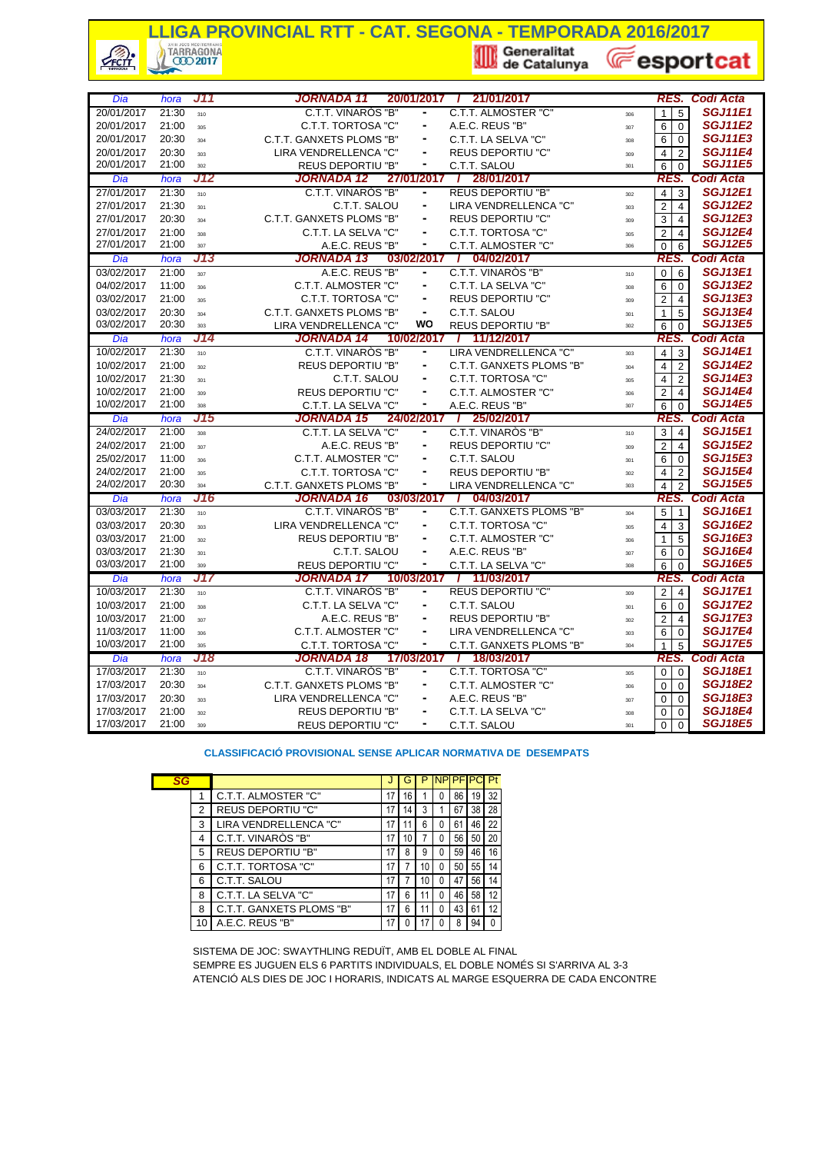# **LLIGA PROVINCIAL RTT - CAT. SEGONA - TEMPORADA 2016/2017**<br> **Export** (*C*) TARRAGONA<br> **Export**

 $\frac{1}{\sqrt{2}}$ 

**E**esportcat

|                          | hora           | J11        | JORNADA 11                                        |            |                              | 20/01/2017 / 21/01/2017                |            |                                                   | <b>RES. Codi Acta</b>              |
|--------------------------|----------------|------------|---------------------------------------------------|------------|------------------------------|----------------------------------------|------------|---------------------------------------------------|------------------------------------|
| Dia<br>20/01/2017        | 21:30          | 310        | C.T.T. VINARÒS "B"                                |            |                              | C.T.T. ALMOSTER "C"                    |            | 5<br>1                                            | <b>SGJ11E1</b>                     |
| 20/01/2017               | 21:00          |            | C.T.T. TORTOSA "C"                                |            |                              | A.E.C. REUS "B"                        | 306        |                                                   | <b>SGJ11E2</b>                     |
| 20/01/2017               | 20:30          | 305        | C.T.T. GANXETS PLOMS "B"                          |            | ۰                            | C.T.T. LA SELVA "C"                    | 307        | 6<br>$\mathbf 0$                                  | <b>SGJ11E3</b>                     |
| 20/01/2017               | 20:30          | 304        | LIRA VENDRELLENCA "C"                             |            |                              | <b>REUS DEPORTIU "C"</b>               | 308        | 6<br>$\mathbf 0$                                  | <b>SGJ11E4</b>                     |
| 20/01/2017               | 21:00          | 303        | <b>REUS DEPORTIU "B"</b>                          |            | ۰                            | C.T.T. SALOU                           | 309        | $\overline{4}$<br>$\overline{2}$                  | <b>SGJ11E5</b>                     |
|                          |                | 302<br>J12 | JORNADA 12                                        | 27/01/2017 |                              | / 28/01/2017                           | 301        | 6<br>$\Omega$                                     | <b>Codi Acta</b>                   |
| Dia<br>27/01/2017        | hora<br>21:30  |            | C.T.T. VINARÓS "B"                                |            | ۰                            | <b>REUS DEPORTIU "B"</b>               |            | RES.                                              | <b>SGJ12E1</b>                     |
| 27/01/2017               | 21:30          | 310        | C.T.T. SALOU                                      |            | ۰                            | LIRA VENDRELLENCA "C"                  | 302        | $\overline{4}$<br>3<br>$\overline{2}$             | <b>SGJ12E2</b>                     |
|                          |                | 301        |                                                   |            | ۰                            |                                        | 303        | 4                                                 | <b>SGJ12E3</b>                     |
| 27/01/2017               | 20:30          | 304        | C.T.T. GANXETS PLOMS "B"                          |            | $\blacksquare$               | <b>REUS DEPORTIU "C"</b>               | 309        | 3<br>$\overline{4}$                               | <b>SGJ12E4</b>                     |
| 27/01/2017<br>27/01/2017 | 21:00<br>21:00 | 308        | C.T.T. LA SELVA "C"                               |            | ۰                            | C.T.T. TORTOSA "C"                     | 305        | $\overline{2}$<br>$\overline{4}$                  | <b>SGJ12E5</b>                     |
|                          |                | 307<br>J13 | A.E.C. REUS "B"<br>JORNADA 13                     | 03/02/2017 |                              | C.T.T. ALMOSTER "C"<br>/ 04/02/2017    | 306        | $\Omega$<br>6<br>RES.                             | Codi Acta                          |
| Dia<br>03/02/2017        | hora<br>21:00  |            | A.E.C. REUS "B"                                   |            |                              | C.T.T. VINARÓS "B"                     |            |                                                   | <b>SGJ13E1</b>                     |
| 04/02/2017               | 11:00          | 307        | C.T.T. ALMOSTER "C"                               |            | ۰                            | C.T.T. LA SELVA "C"                    | 310        | $\mathbf 0$<br>6                                  | <b>SGJ13E2</b>                     |
| 03/02/2017               | 21:00          | 306        |                                                   |            |                              |                                        | 308        | 6<br>0                                            | <b>SGJ13E3</b>                     |
|                          |                | 205        | C.T.T. TORTOSA "C"                                |            | $\frac{1}{2}$                | <b>REUS DEPORTIU "C"</b>               | 309        | $\overline{2}$<br>$\overline{4}$                  | <b>SGJ13E4</b>                     |
| 03/02/2017<br>03/02/2017 | 20:30<br>20:30 | 304        | C.T.T. GANXETS PLOMS "B"                          |            | WO                           | C.T.T. SALOU                           | 301        | 5<br>1                                            | <b>SGJ13E5</b>                     |
|                          |                | 303        | LIRA VENDRELLENCA "C"                             |            |                              | <b>REUS DEPORTIU "B"</b>               | 302        | 6<br>$\Omega$                                     | <b>Codi Acta</b>                   |
| Dia                      | hora           | J14        | JORNADA 14                                        | 10/02/2017 |                              | 11/12/2017<br>$\prime$                 |            | RES.                                              | <b>SGJ14E1</b>                     |
| 10/02/2017               | 21:30          | 310        | C.T.T. VINAROS "B"                                |            | ۰                            | LIRA VENDRELLENCA "C"                  | 303        | $\overline{4}$<br>3                               | <b>SGJ14E2</b>                     |
| 10/02/2017               | 21:00          | 302        | <b>REUS DEPORTIU "B"</b>                          |            | ۰                            | C.T.T. GANXETS PLOMS "B"               | 304        | $\overline{2}$<br>$\overline{\mathbf{4}}$         |                                    |
| 10/02/2017               | 21:30          | 301        | C.T.T. SALOU                                      |            |                              | C.T.T. TORTOSA "C"                     | 305        | 4<br>$\overline{2}$                               | <b>SGJ14E3</b>                     |
| 10/02/2017               | 21:00          | 309        | <b>REUS DEPORTIU "C"</b>                          |            | ٠                            | C.T.T. ALMOSTER "C"                    | 306        | $\overline{2}$<br>$\overline{4}$                  | <b>SGJ14E4</b><br><b>SGJ14E5</b>   |
| 10/02/2017               | 21:00          | 308        | C.T.T. LA SELVA "C"                               |            | ۰                            | A.E.C. REUS "B"                        | 307        | 6<br>$\Omega$                                     |                                    |
| Dia<br>24/02/2017        | hora<br>21:00  | J15<br>308 | JORNADA 15<br>C.T.T. LA SELVA "C"                 | 24/02/2017 |                              | / 25/02/2017<br>C.T.T. VINARÓS "B"     | 310        | RES.<br>3<br>$\overline{4}$                       | <b>Codi Acta</b><br><b>SGJ15E1</b> |
| 24/02/2017               | 21:00          |            | A.E.C. REUS "B"                                   |            | ۰                            | <b>REUS DEPORTIU "C"</b>               |            | $\overline{2}$<br>$\overline{4}$                  | <b>SGJ15E2</b>                     |
| 25/02/2017               | 11:00          | 307        | C.T.T. ALMOSTER "C"                               |            | ۰                            | C.T.T. SALOU                           | 309        | 6<br>$\mathbf 0$                                  | <b>SGJ15E3</b>                     |
| 24/02/2017               | 21:00          | 306        | C.T.T. TORTOSA "C"                                |            |                              | <b>REUS DEPORTIU "B"</b>               | 301        | 4<br>$\overline{2}$                               | <b>SGJ15E4</b>                     |
| 24/02/2017               | 20:30          | 305<br>304 | C.T.T. GANXETS PLOMS "B"                          |            | $\qquad \qquad \blacksquare$ | LIRA VENDRELLENCA "C"                  | 302        |                                                   | <b>SGJ15E5</b>                     |
| Dia                      | hora           | J16        | JORNADA 16                                        |            |                              |                                        |            |                                                   |                                    |
| 03/03/2017               |                |            |                                                   |            |                              |                                        | 303        | $\overline{4}$<br>$\overline{2}$                  |                                    |
|                          |                |            |                                                   | 03/03/2017 |                              | 04/03/2017                             |            | RES.                                              | Codi Acta                          |
|                          | 21:30          | 310        | C.T.T. VINARÒS "B"                                |            | ۰                            | C.T.T. GANXETS PLOMS "B"               | 304        | 5<br>$\overline{1}$                               | <b>SGJ16E1</b>                     |
| 03/03/2017               | 20:30          | 303        | LIRA VENDRELLENCA "C"                             |            | ۰                            | C.T.T. TORTOSA "C"                     | 305        | $\overline{4}$<br>3                               | <b>SGJ16E2</b>                     |
| 03/03/2017               | 21:00          | 302        | <b>REUS DEPORTIU "B"</b>                          |            | ۰                            | C.T.T. ALMOSTER "C"                    | 306        | 5<br>1                                            | <b>SGJ16E3</b>                     |
| 03/03/2017               | 21:30          | 301        | C.T.T. SALOU                                      |            |                              | A.E.C. REUS "B"                        | 307        | 6<br>$\mathbf 0$                                  | <b>SGJ16E4</b>                     |
| 03/03/2017               | 21:00          | 309        | <b>REUS DEPORTIU "C"</b>                          |            | $\frac{1}{2}$                | C.T.T. LA SELVA "C"                    | 308        | 6<br>$\Omega$                                     | <b>SGJ16E5</b>                     |
| Dia                      | hora           | J17        | JORNADA 17                                        | 10/03/2017 | $\blacksquare$               | / 11/03/2017                           |            | RES.                                              | <b>Codi Acta</b>                   |
| 10/03/2017               | 21:30          | 310        | C.T.T. VINARÓS "B"                                |            |                              | <b>REUS DEPORTIU "C"</b>               | 309        | $\overline{2}$<br>$\overline{4}$                  | <b>SGJ17E1</b>                     |
| 10/03/2017               | 21:00          | 308        | C.T.T. LA SELVA "C"                               |            | ۰<br>$\blacksquare$          | C.T.T. SALOU                           | 301        | 6<br>$\mathbf 0$                                  | <b>SGJ17E2</b>                     |
| 10/03/2017               | 21:00          | 307        | A.E.C. REUS "B"                                   |            |                              | <b>REUS DEPORTIU "B"</b>               | 302        | $\overline{c}$<br>4                               | <b>SGJ17E3</b>                     |
| 11/03/2017               | 11:00          | 306        | C.T.T. ALMOSTER "C"                               |            | ٠<br>۰                       | LIRA VENDRELLENCA "C"                  | 303        | 6<br>$\mathbf 0$                                  | <b>SGJ17E4</b>                     |
| 10/03/2017               | 21:00          | 305        | C.T.T. TORTOSA "C"                                |            |                              | C.T.T. GANXETS PLOMS "B"               | 304        | 1<br>5                                            | <b>SGJ17E5</b>                     |
| Dia                      | hora           | J18        | JORNADA 18                                        | 17/03/2017 |                              | / 18/03/2017                           |            | RES.                                              | Codi Acta                          |
| 17/03/2017               | 21:30          | 310        | C.T.T. VINARÓS "B"                                |            | $\blacksquare$               | C.T.T. TORTOSA "C"                     | 305        | $\mathbf 0$<br>$\mathbf 0$                        | <b>SGJ18E1</b>                     |
| 17/03/2017               | 20:30          | 304        | C.T.T. GANXETS PLOMS "B"                          |            |                              | C.T.T. ALMOSTER "C"                    | 306        | $\Omega$<br>$\Omega$                              | <b>SGJ18E2</b>                     |
| 17/03/2017<br>17/03/2017 | 20:30<br>21:00 | 303<br>302 | LIRA VENDRELLENCA "C"<br><b>REUS DEPORTIU "B"</b> |            | ۰                            | A.E.C. REUS "B"<br>C.T.T. LA SELVA "C" | 307<br>308 | $\mathbf 0$<br>0<br>$\overline{0}$<br>$\mathbf 0$ | <b>SGJ18E3</b><br><b>SGJ18E4</b>   |

#### **CLASSIFICACIÓ PROVISIONAL SENSE APLICAR NORMATIVA DE DESEMPATS**

|  | SG           |   |                          |    |    |    |   | <b>NPIPF</b> |    | Pt       |
|--|--------------|---|--------------------------|----|----|----|---|--------------|----|----------|
|  |              | 1 | C.T.T. ALMOSTER "C"      | 17 | 16 |    | 0 | 86           | 19 | 32       |
|  | 2            |   | <b>REUS DEPORTIU "C"</b> | 17 | 14 | 3  |   | 67           | 38 | 28       |
|  |              | 3 | LIRA VENDRELLENCA "C"    | 17 |    | 6  | 0 | 61           | 46 | 22       |
|  | 4            |   | C.T.T. VINARÒS "B"       | 17 | 10 |    | O | 56           | 50 | 20       |
|  |              | 5 | <b>REUS DEPORTIU "B"</b> | 17 | 8  | 9  | 0 | 59           | 46 | 16       |
|  |              | 6 | C.T.T. TORTOSA "C"       | 17 |    | 10 | 0 | 50           | 55 | 14       |
|  |              | 6 | C.T.T. SALOU             | 17 |    | 10 | 0 | 47           | 56 | 14       |
|  | 8<br>8<br>10 |   | C.T.T. LA SELVA "C"      | 17 | 6  |    | 0 | 46           | 58 | 12       |
|  |              |   | C.T.T. GANXETS PLOMS "B" | 17 | 6  |    | 0 | 43           | 61 | 12       |
|  |              |   | A.E.C. REUS "B"          | 17 |    |    |   | 8            | 94 | $\Omega$ |
|  |              |   |                          |    |    |    |   |              |    |          |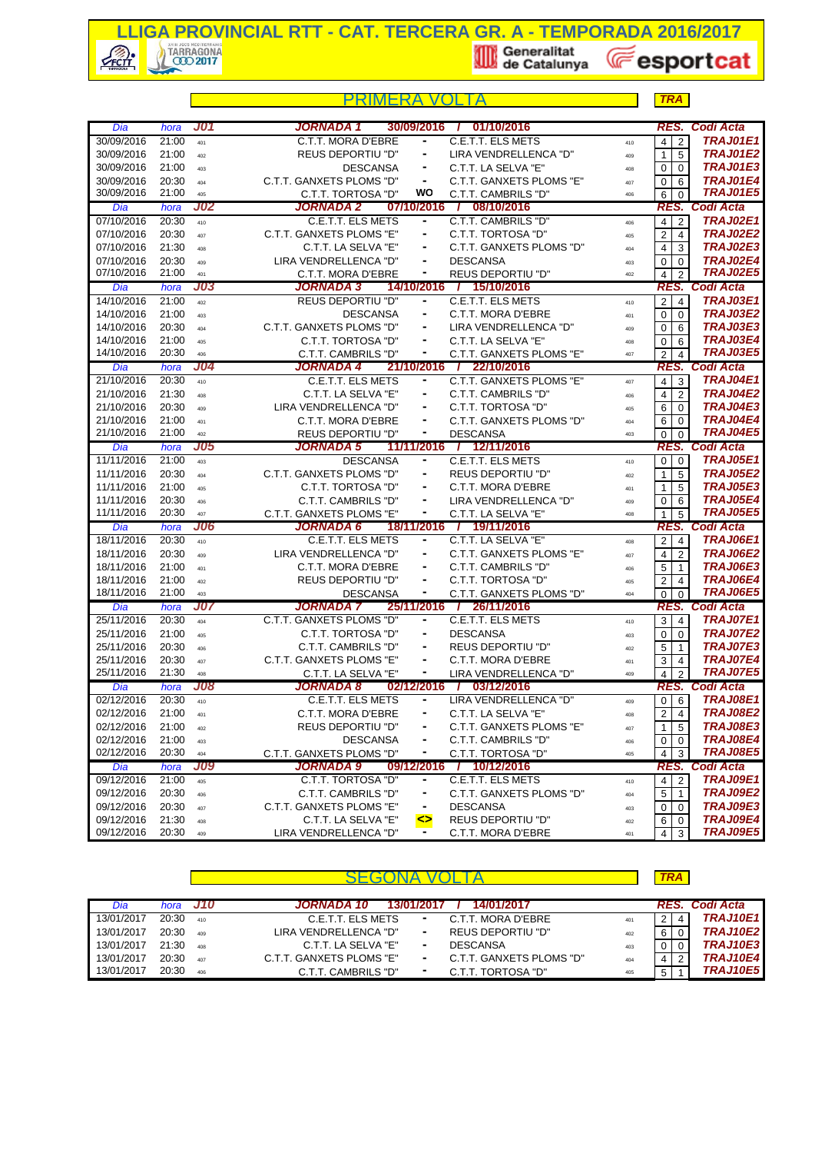

|                          |                |                   | PRIMFRA                                         |                 |                                             |            | <b>TRA</b>                       |                                    |
|--------------------------|----------------|-------------------|-------------------------------------------------|-----------------|---------------------------------------------|------------|----------------------------------|------------------------------------|
| Dia                      | hora           | <b>J01</b>        | <b>JORNADA 1</b>                                | 30/09/2016      | 01/10/2016<br>$\mathbf{I}$                  |            | RES.                             | <b>Codi Acta</b>                   |
| 30/09/2016               | 21:00          | 401               | C.T.T. MORA D'EBRE                              |                 | C.E.T.T. ELS METS                           | 410        | $\overline{2}$<br>$\overline{4}$ | <b>TRAJ01E1</b>                    |
| 30/09/2016               | 21:00          | 402               | <b>REUS DEPORTIU "D"</b>                        |                 | LIRA VENDRELLENCA "D"                       | 409        | 5<br>$\mathbf{1}$                | <b>TRAJ01E2</b>                    |
| 30/09/2016               | 21:00          | 403               | <b>DESCANSA</b>                                 | ۰               | C.T.T. LA SELVA "E"                         | 408        | $\overline{0}$<br>$\Omega$       | <b>TRAJ01E3</b>                    |
| 30/09/2016               | 20:30          | 404               | C.T.T. GANXETS PLOMS "D"                        | $\blacksquare$  | C.T.T. GANXETS PLOMS "E"                    | 407        | 0<br>6                           | TRAJ01E4                           |
| 30/09/2016               | 21:00          | 405               | C.T.T. TORTOSA "D"                              | wo              | C.T.T. CAMBRILS "D"                         | 406        | 6<br>$\Omega$                    | <b>TRAJ01E5</b>                    |
| Dia                      | hora           | <b>J02</b>        | JORNADA 2                                       |                 | 07/10/2016 / 08/10/2016                     |            |                                  | RES. Codi Acta                     |
| 07/10/2016               | 20:30          | 410               | C.E.T.T. ELS METS                               | ۰               | C.T.T. CAMBRILS "D"                         | 406        | $\overline{4}$<br>$\overline{2}$ | <b>TRAJ02E1</b>                    |
| 07/10/2016               | 20:30          | 407               | C.T.T. GANXETS PLOMS "E"                        | ۰               | C.T.T. TORTOSA "D"                          | 405        | 2 <sup>1</sup><br>$\overline{4}$ | <b>TRAJ02E2</b>                    |
| 07/10/2016               | 21:30          | 408               | C.T.T. LA SELVA "E"                             | ۰               | C.T.T. GANXETS PLOMS "D"                    | 404        | $\overline{4}$<br>3              | <b>TRAJ02E3</b>                    |
| 07/10/2016               | 20:30          | 409               | LIRA VENDRELLENCA "D"                           |                 | <b>DESCANSA</b>                             | 403        | $\overline{0}$<br>$\mathbf 0$    | <b>TRAJ02E4</b><br><b>TRAJ02E5</b> |
| 07/10/2016               | 21:00          | 401<br>J03        | C.T.T. MORA D'EBRE<br><b>JORNADA 3</b>          | ٠<br>14/10/2016 | <b>REUS DEPORTIU "D"</b><br>/ 15/10/2016    | 402        | $\overline{4}$<br>2              | Codi Acta                          |
| Dia<br>14/10/2016        | hora<br>21:00  |                   | <b>REUS DEPORTIU "D"</b>                        | ۰               | C.E.T.T. ELS METS                           |            | RES.                             | <b>TRAJ03E1</b>                    |
| 14/10/2016               | 21:00          | 402               | <b>DESCANSA</b>                                 | ٠               | C.T.T. MORA D'EBRE                          | 410        | 2 <sub>1</sub><br>$\overline{4}$ | <b>TRAJ03E2</b>                    |
| 14/10/2016               | 20:30          | 403               | C.T.T. GANXETS PLOMS "D"                        |                 | LIRA VENDRELLENCA "D"                       | 401        | $\overline{0}$<br>$\mathbf 0$    | <b>TRAJ03E3</b>                    |
| 14/10/2016               | 21:00          | 404               | C.T.T. TORTOSA "D"                              | ۰               | C.T.T. LA SELVA "E"                         | 409        | 0<br>6                           | <b>TRAJ03E4</b>                    |
| 14/10/2016               | 20:30          | 405<br>406        | C.T.T. CAMBRILS "D"                             | ۰               | C.T.T. GANXETS PLOMS "E"                    | 408<br>407 | 0<br>6<br>2<br>$\overline{4}$    | <b>TRAJ03E5</b>                    |
| Dia                      | hora           | J04               | JORNADA 4                                       |                 | 21/10/2016 / 22/10/2016                     |            |                                  | RES. Codi Acta                     |
| 21/10/2016               | 20:30          | 410               | C.E.T.T. ELS METS                               | ۰               | C.T.T. GANXETS PLOMS "E"                    | 407        | $\overline{4}$<br>3              | <b>TRAJ04E1</b>                    |
| 21/10/2016               | 21:30          | 408               | C.T.T. LA SELVA "E"                             |                 | C.T.T. CAMBRILS "D"                         | 406        | $\overline{2}$<br>4 <sup>1</sup> | <b>TRAJ04E2</b>                    |
| 21/10/2016               | 20:30          | 409               | LIRA VENDRELLENCA "D"                           |                 | C.T.T. TORTOSA "D"                          | 405        | 6<br>$\overline{0}$              | TRAJ04E3                           |
| 21/10/2016               | 21:00          | 401               | C.T.T. MORA D'EBRE                              | ٠               | C.T.T. GANXETS PLOMS "D"                    | 404        | 6<br>$\Omega$                    | <b>TRAJ04E4</b>                    |
| 21/10/2016               | 21:00          | 402               | <b>REUS DEPORTIU "D"</b>                        |                 | <b>DESCANSA</b>                             | 403        | $\overline{0}$<br>$\Omega$       | <b>TRAJ04E5</b>                    |
| Dia                      | hora           | <b>J05</b>        | <b>JORNADA 5</b>                                |                 | 11/11/2016 / 12/11/2016                     |            |                                  | <b>RES. Codi Acta</b>              |
| 11/11/2016               | 21:00          | 403               | <b>DESCANSA</b>                                 | ٠               | C.E.T.T. ELS METS                           | 410        | 0 <sup>1</sup>                   | <b>TRAJ05E1</b>                    |
| 11/11/2016               | 20:30          | 404               | C.T.T. GANXETS PLOMS "D"                        | ۰               | <b>REUS DEPORTIU "D"</b>                    | 402        | 5<br>1                           | <b>TRAJ05E2</b>                    |
| 11/11/2016               | 21:00          | 405               | C.T.T. TORTOSA "D"                              | ۰               | C.T.T. MORA D'EBRE                          | 401        | $\mathbf{1}$<br>5                | <b>TRAJ05E3</b>                    |
| 11/11/2016               | 20:30          | 406               | C.T.T. CAMBRILS "D"                             |                 | LIRA VENDRELLENCA "D"                       | 409        | 0<br>6                           | <b>TRAJ05E4</b>                    |
| 11/11/2016               | 20:30          | 407               | C.T.T. GANXETS PLOMS "E"                        | ۰               | C.T.T. LA SELVA "E"                         | 408        | 5<br>$\mathbf{1}$                | <b>TRAJ05E5</b>                    |
| Dia                      | hora           | J06               | <b>JORNADA 6</b>                                | 18/11/2016      | / 19/11/2016                                |            | RES.                             | <b>Codi Acta</b>                   |
| 18/11/2016               | 20:30          | 410               | <b>C.E.T.T. ELS METS</b>                        | $\blacksquare$  | C.T.T. LA SELVA "E"                         | 408        | $2 \mid 4$                       | <b>TRAJ06E1</b>                    |
| 18/11/2016               | 20:30          | 409               | LIRA VENDRELLENCA "D"                           | $\frac{1}{2}$   | C.T.T. GANXETS PLOMS "E"                    | 407        | 2<br>4                           | <b>TRAJ06E2</b>                    |
| 18/11/2016               | 21:00          | 401               | C.T.T. MORA D'EBRE                              | ٠               | C.T.T. CAMBRILS "D"                         | 406        | 5<br>$\mathbf{1}$                | <b>TRAJ06E3</b>                    |
| 18/11/2016               | 21:00          | 402               | <b>REUS DEPORTIU "D"</b>                        | $\blacksquare$  | C.T.T. TORTOSA "D"                          | 405        | 2<br>$\overline{4}$              | <b>TRAJ06E4</b>                    |
| 18/11/2016               | 21:00          | 403               | <b>DESCANSA</b>                                 | ۰               | C.T.T. GANXETS PLOMS "D"                    | 404        | $\mathbf 0$<br>$\Omega$          | <b>TRAJ06E5</b>                    |
| Dia                      | hora           | <b>J07</b>        | JORNADA 7                                       | 25/11/2016      | 26/11/2016<br>$\mathcal{L}$                 |            |                                  | RES. Codi Acta                     |
| 25/11/2016               | 20:30          | 404               | C.T.T. GANXETS PLOMS "D"                        | ۰               | <b>C.E.T.T. ELS METS</b>                    | 410        | $3 \mid 4$                       | <b>TRAJ07E1</b>                    |
| 25/11/2016<br>25/11/2016 | 21:00          | 405               | C.T.T. TORTOSA "D"                              | ۰               | <b>DESCANSA</b>                             | 403        | 0<br>$\Omega$                    | <b>TRAJ07E2</b><br><b>TRAJ07E3</b> |
|                          | 20:30          | 406               | C.T.T. CAMBRILS "D"                             | $\frac{1}{2}$   | <b>REUS DEPORTIU "D"</b>                    | 402        | 5<br>$\overline{1}$              | <b>TRAJ07E4</b>                    |
| 25/11/2016<br>25/11/2016 | 20:30<br>21:30 | 407               | C.T.T. GANXETS PLOMS "E"<br>C.T.T. LA SELVA "E" | ٠               | C.T.T. MORA D'EBRE<br>LIRA VENDRELLENCA "D" | 401        | 3<br>$\overline{4}$              | <b>TRAJ07E5</b>                    |
| Dia                      | hora           | 408<br><b>J08</b> | <b>JORNADA 8</b>                                | 02/12/2016 /    | 03/12/2016                                  | 409        | 4<br>$\overline{2}$              | <b>RES. Codi Acta</b>              |
| 02/12/2016               | 20:30          | 410               | <b>C.E.T.T. ELS METS</b>                        |                 | LIRA VENDRELLENCA "D"                       |            | $0 \overline{6}$                 | <b>TRAJ08E1</b>                    |
| 02/12/2016               | 21:00          |                   | C.T.T. MORA D'EBRE                              |                 | C.T.T. LA SELVA "E"                         | 409        | $\overline{2}$<br>$\overline{4}$ | <b>TRAJ08E2</b>                    |
| 02/12/2016               | 21:00          | 401<br>402        | <b>REUS DEPORTIU "D"</b>                        |                 | C.T.T. GANXETS PLOMS "E"                    | 408        | 5<br>1                           | <b>TRAJ08E3</b>                    |
| 02/12/2016               | 21:00          | 403               | <b>DESCANSA</b>                                 | ۰               | C.T.T. CAMBRILS "D"                         | 407<br>406 | 0<br>0                           | TRAJ08E4                           |
| 02/12/2016               | 20:30          | 404               | C.T.T. GANXETS PLOMS "D"                        |                 | C.T.T. TORTOSA "D"                          | 405        | 4<br>3                           | <b>TRAJ08E5</b>                    |
| Dia                      | hora           | <b>J09</b>        | <b>JORNADA 9</b>                                | 09/12/2016      | 10/12/2016<br>$\overline{I}$                |            |                                  | <b>RES. Codi Acta</b>              |
| 09/12/2016               | 21:00          | 405               | C.T.T. TORTOSA "D"                              | ۰               | C.E.T.T. ELS METS                           | 410        | $4 \mid 2$                       | <b>TRAJ09E1</b>                    |
| 09/12/2016               | 20:30          | 406               | C.T.T. CAMBRILS "D"                             |                 | C.T.T. GANXETS PLOMS "D"                    | 404        | 5<br>$\overline{1}$              | TRAJ09E2                           |
| 09/12/2016               | 20:30          | 407               | C.T.T. GANXETS PLOMS "E"                        | ۰               | <b>DESCANSA</b>                             | 403        | 0<br>0                           | TRAJ09E3                           |
| 09/12/2016               | 21:30          | 408               | C.T.T. LA SELVA "E"                             | ⇔               | <b>REUS DEPORTIU "D"</b>                    | 402        | 6 I<br>$\overline{0}$            | TRAJ09E4                           |
| 09/12/2016               | 20:30          | 409               | LIRA VENDRELLENCA "D"                           | ٠.              | C.T.T. MORA D'EBRE                          | 401        | $4 \overline{3}$                 | <b>TRAJ09E5</b>                    |

| Dia        | hora  | - J10 | JORNADA 10<br>14/01/2017<br>13/01/2017                    |     |                | RES. Codi Acta  |
|------------|-------|-------|-----------------------------------------------------------|-----|----------------|-----------------|
| 13/01/2017 | 20:30 | 410   | C.E.T.T. ELS METS<br>C.T.T. MORA D'EBRE<br>$\sim$         | 401 | 2 <sub>1</sub> | <b>TRAJ10E1</b> |
| 13/01/2017 | 20:30 | 409   | <b>REUS DEPORTIU "D"</b><br>LIRA VENDRELLENCA "D"<br>٠    | 402 | 6              | <b>TRAJ10E2</b> |
| 13/01/2017 | 21:30 | 408   | C.T.T. LA SELVA "E"<br><b>DESCANSA</b><br>۰               | 403 | $\mathbf{0}$   | <b>TRAJ10E3</b> |
| 13/01/2017 | 20:30 | 407   | C.T.T. GANXETS PLOMS "E"<br>C.T.T. GANXETS PLOMS "D"<br>۰ | 404 | 4              | <b>TRAJ10E4</b> |
| 13/01/2017 | 20:30 | 406   | C.T.T. TORTOSA "D"<br>C.T.T. CAMBRILS "D"<br>۰            | 405 | 5              | <b>TRAJ10E5</b> |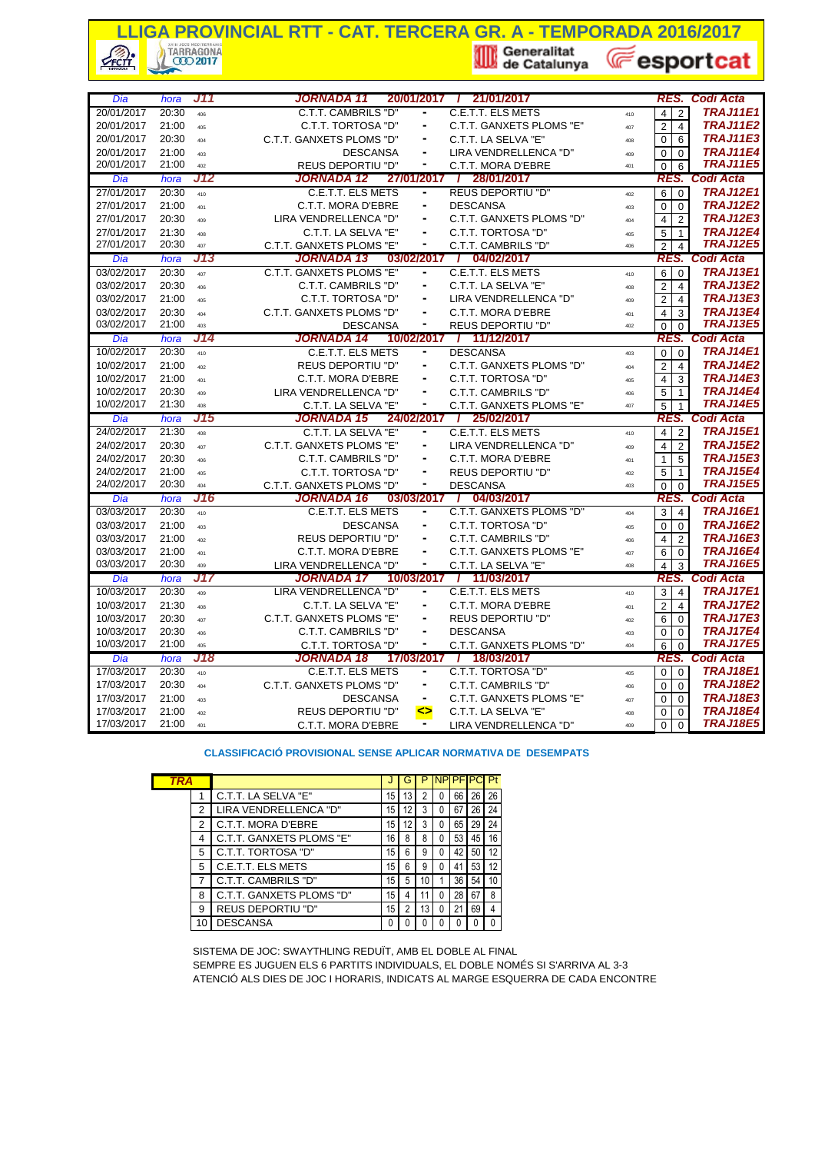## **LIGA PROVINCIAL RTT - CAT. TERCERA GR. A - TEMPORADA 2016/2017**<br> **A Construction of the Catalunya** (*Catalunya* (*Catalunya* (*Catalunya* (*Catalunya* (*Catalunya* (*Catalunya* (*Catalunya* (*Catalunya* (*Catalunya* (*Cat* **E**esportcat **CFCTT**

| Dia                      | hora           | J11        | <b>JORNADA 11</b><br>20/01/2017                              | / 21/01/2017                                    |                                          | RES.              | <b>Codi Acta</b>                                |
|--------------------------|----------------|------------|--------------------------------------------------------------|-------------------------------------------------|------------------------------------------|-------------------|-------------------------------------------------|
| 20/01/2017               | 20:30          | 406        | C.T.T. CAMBRILS "D"                                          | C.E.T.T. ELS METS                               | $\overline{4}$<br>410                    | $\overline{2}$    | <b>TRAJ11E1</b>                                 |
| 20/01/2017               | 21:00          | 405        | C.T.T. TORTOSA "D"<br>۰                                      | C.T.T. GANXETS PLOMS "E"                        | $\overline{2}$                           | $\overline{4}$    | <b>TRAJ11E2</b>                                 |
| 20/01/2017               | 20:30          | 404        | C.T.T. GANXETS PLOMS "D"                                     | C.T.T. LA SELVA "E"                             | 407<br>$\mathbf 0$<br>408                | 6                 | <b>TRAJ11E3</b>                                 |
| 20/01/2017               | 21:00          | 403        | <b>DESCANSA</b><br>$\overline{\phantom{a}}$                  | LIRA VENDRELLENCA "D"                           | $\Omega$                                 | $\Omega$          | <b>TRAJ11E4</b>                                 |
| 20/01/2017               | 21:00          | 402        | <b>REUS DEPORTIU "D"</b><br>٠                                | C.T.T. MORA D'EBRE                              | 409<br>$\Omega$<br>401                   | 6                 | <b>TRAJ11E5</b>                                 |
| Dia                      | hora           | J12        | <b>JORNADA 12</b>                                            | 27/01/2017 / 28/01/2017                         |                                          | RES.              | Codi Acta                                       |
| 27/01/2017               | 20:30          | 410        | C.E.T.T. ELS METS                                            | <b>REUS DEPORTIU "D"</b>                        | 6<br>402                                 | $\mathbf 0$       | <b>TRAJ12E1</b>                                 |
| 27/01/2017               | 21:00          |            | C.T.T. MORA D'EBRE                                           | <b>DESCANSA</b>                                 | $\mathbf 0$                              | $\mathbf 0$       | <b>TRAJ12E2</b>                                 |
| 27/01/2017               | 20:30          | 401<br>409 | LIRA VENDRELLENCA "D"<br>۰                                   | C.T.T. GANXETS PLOMS "D"                        | 403<br>$\overline{4}$                    | $\overline{2}$    | <b>TRAJ12E3</b>                                 |
| 27/01/2017               | 21:30          |            | C.T.T. LA SELVA "E"                                          | C.T.T. TORTOSA "D"                              | 404                                      |                   | <b>TRAJ12E4</b>                                 |
| 27/01/2017               | 20:30          | 408<br>407 | C.T.T. GANXETS PLOMS "E"<br>۰                                | C.T.T. CAMBRILS "D"                             | 5<br>405<br>$\overline{2}$<br>406        | $\mathbf{1}$<br>4 | <b>TRAJ12E5</b>                                 |
| Dia                      | hora           | J13        | JORNADA 13<br>03/02/2017                                     | / 04/02/2017                                    |                                          |                   | RES. Codi Acta                                  |
| 03/02/2017               | 20:30          | 407        | C.T.T. GANXETS PLOMS "E"<br>۰                                | C.E.T.T. ELS METS                               | 6                                        | $\Omega$          | <b>TRAJ13E1</b>                                 |
| 03/02/2017               | 20:30          | 406        | C.T.T. CAMBRILS "D"                                          | C.T.T. LA SELVA "E"                             | 410<br>$\overline{2}$                    | $\overline{4}$    | <b>TRAJ13E2</b>                                 |
| 03/02/2017               | 21:00          |            | C.T.T. TORTOSA "D"                                           | LIRA VENDRELLENCA "D"                           | 408<br>$\overline{2}$                    | $\overline{4}$    | <b>TRAJ13E3</b>                                 |
| 03/02/2017               | 20:30          | 405        | C.T.T. GANXETS PLOMS "D"                                     | C.T.T. MORA D'EBRE                              | 409<br>$\overline{4}$                    |                   | <b>TRAJ13E4</b>                                 |
| 03/02/2017               | 21:00          | 404        | <b>DESCANSA</b><br>۰                                         | <b>REUS DEPORTIU "D"</b>                        | 401                                      | 3                 | <b>TRAJ13E5</b>                                 |
| Dia                      | hora           | 403<br>J14 | <b>JORNADA 14</b>                                            | 10/02/2017 / 11/12/2017                         | $\Omega$<br>402                          | $\Omega$          | RES. Codi Acta                                  |
| 10/02/2017               | 20:30          |            | C.E.T.T. ELS METS<br>$\blacksquare$                          | <b>DESCANSA</b>                                 | $\mathbf 0$                              | $\mathbf 0$       | <b>TRAJ14E1</b>                                 |
| 10/02/2017               | 21:00          | 410        | <b>REUS DEPORTIU "D"</b><br>$\blacksquare$                   | C.T.T. GANXETS PLOMS "D"                        | 403                                      |                   | <b>TRAJ14E2</b>                                 |
|                          | 21:00          | 402        | C.T.T. MORA D'EBRE                                           | C.T.T. TORTOSA "D"                              | $\overline{2}$<br>404                    | $\overline{4}$    | <b>TRAJ14E3</b>                                 |
| 10/02/2017               |                | 401        | ۰                                                            |                                                 | $\overline{4}$<br>405                    | 3                 | <b>TRAJ14E4</b>                                 |
| 10/02/2017<br>10/02/2017 | 20:30<br>21:30 | 409        | LIRA VENDRELLENCA "D"<br>C.T.T. LA SELVA "E"                 | C.T.T. CAMBRILS "D"<br>C.T.T. GANXETS PLOMS "E" | 5<br>406                                 | $\mathbf{1}$      | <b>TRAJ14E5</b>                                 |
|                          |                | 408        |                                                              |                                                 |                                          |                   |                                                 |
|                          |                |            |                                                              |                                                 | 5<br>407                                 | 1                 |                                                 |
| Dia                      | hora           | J15        | <b>JORNADA 15</b><br>24/02/2017 /                            | 25/02/2017                                      |                                          | RES.              | Codi Acta                                       |
| 24/02/2017               | 21:30          | 408        | C.T.T. LA SELVA "E"                                          | <b>C.E.T.T. ELS METS</b>                        | $\overline{4}$<br>410                    | $\overline{2}$    | <b>TRAJ15E1</b>                                 |
| 24/02/2017               | 20:30          | 407        | C.T.T. GANXETS PLOMS "E"<br>$\blacksquare$<br>$\blacksquare$ | LIRA VENDRELLENCA "D"                           | $\overline{4}$<br>409                    | $\overline{2}$    | <b>TRAJ15E2</b>                                 |
| 24/02/2017               | 20:30          | 406        | C.T.T. CAMBRILS "D"                                          | C.T.T. MORA D'EBRE                              | $\mathbf{1}$<br>401                      | 5                 |                                                 |
| 24/02/2017               | 21:00          | 405        | C.T.T. TORTOSA "D"                                           | <b>REUS DEPORTIU "D"</b>                        | 5<br>402                                 | $\mathbf{1}$      | <b>TRAJ15E4</b>                                 |
| 24/02/2017               | 20:30          | 404        | C.T.T. GANXETS PLOMS "D"<br>۰                                | <b>DESCANSA</b>                                 | $\Omega$<br>403                          | $\Omega$          | <b>TRAJ15E5</b>                                 |
| Dia                      | hora           | J16        | JORNADA 16<br>03/03/2017                                     | / 04/03/2017                                    |                                          | RES.              | <b>Codi Acta</b>                                |
| 03/03/2017               | 20:30          | 410        | C.E.T.T. ELS METS<br>۰                                       | C.T.T. GANXETS PLOMS "D"                        | 3<br>404                                 | $\overline{4}$    |                                                 |
| 03/03/2017               | 21:00          | 403        | <b>DESCANSA</b>                                              | C.T.T. TORTOSA "D"                              | $\mathbf 0$<br>405                       | $\mathbf 0$       |                                                 |
| 03/03/2017               | 21:00          | 402        | <b>REUS DEPORTIU "D"</b><br>$\frac{1}{2}$                    | C.T.T. CAMBRILS "D"                             | $\overline{4}$<br>406                    | 2                 | TRAJ16E1<br><b>TRAJ16E2</b><br><b>TRAJ16E3</b>  |
| 03/03/2017               | 21:00          | 401        | C.T.T. MORA D'EBRE<br>۰                                      | C.T.T. GANXETS PLOMS "E"                        | 6<br>407                                 | $\mathbf 0$       |                                                 |
| 03/03/2017               | 20:30          | 409        | LIRA VENDRELLENCA "D"                                        | C.T.T. LA SELVA "E"                             | $\overline{4}$<br>408                    | 3                 | <b>TRAJ16E5</b>                                 |
| Dia                      | hora           | J17        | <b>JORNADA 17</b>                                            | 10/03/2017 / 11/03/2017                         |                                          | RES.              | <b>Codi Acta</b>                                |
| 10/03/2017               | 20:30          | 409        | LIRA VENDRELLENCA "D"<br>$\overline{\phantom{a}}$            | C.E.T.T. ELS METS                               | 3<br>410                                 | $\overline{4}$    | <b>TRAJ16E4</b><br><b>TRAJ17E1</b>              |
| 10/03/2017               | 21:30          | 408        | C.T.T. LA SELVA "E"<br>$\blacksquare$                        | C.T.T. MORA D'EBRE                              | $\overline{2}$<br>401                    | $\overline{4}$    | <b>TRAJ17E2</b>                                 |
| 10/03/2017               | 20:30          | 407        | C.T.T. GANXETS PLOMS "E"<br>$\blacksquare$                   | <b>REUS DEPORTIU "D"</b>                        | 6<br>402                                 | $\Omega$          | <b>TRAJ15E3</b><br><b>TRAJ17E3</b>              |
| 10/03/2017<br>10/03/2017 | 20:30<br>21:00 | 406<br>405 | C.T.T. CAMBRILS "D"<br>٠                                     | <b>DESCANSA</b>                                 | $\mathbf 0$<br>403<br>404                | 0                 | <b>TRAJ17E5</b>                                 |
|                          |                |            | C.T.T. TORTOSA "D"                                           | C.T.T. GANXETS PLOMS "D"                        | 6                                        | $\mathbf 0$       |                                                 |
| Dia<br>17/03/2017        | hora<br>20:30  | J18<br>410 | JORNADA 18<br>17/03/2017<br>C.E.T.T. ELS METS                | 18/03/2017<br>C.T.T. TORTOSA "D"                |                                          | RES.              | <b>TRAJ17E4</b><br>Codi Acta<br><b>TRAJ18E1</b> |
|                          |                |            | $\blacksquare$                                               |                                                 | $\mathbf 0$<br>405<br>406                | $\mathbf 0$       |                                                 |
| 17/03/2017               | 20:30          | 404        | C.T.T. GANXETS PLOMS "D"                                     | C.T.T. CAMBRILS "D"                             | $\mathbf 0$                              | $\mathbf 0$       | <b>TRAJ18E2</b><br><b>TRAJ18E3</b>              |
| 17/03/2017<br>17/03/2017 | 21:00<br>21:00 | 403<br>402 | <b>DESCANSA</b><br><b>REUS DEPORTIU "D"</b><br>⇔             | C.T.T. GANXETS PLOMS "E"<br>C.T.T. LA SELVA "E" | $\mathbf 0$<br>407<br>$\mathbf 0$<br>408 | $\mathbf 0$<br>0  | <b>TRAJ18E4</b>                                 |

#### **CLASSIFICACIÓ PROVISIONAL SENSE APLICAR NORMATIVA DE DESEMPATS**

| TRA |    |                          |    | G  | Р  |   | <b>NP PF</b> |    | Pt |
|-----|----|--------------------------|----|----|----|---|--------------|----|----|
|     |    | C.T.T. LA SELVA "E"      | 15 | 13 |    | 0 | 66           | 26 | 26 |
|     | 2  | LIRA VENDRELLENCA "D"    | 15 | 12 | 3  | 0 | 67           | 26 | 24 |
|     | 2  | C.T.T. MORA D'EBRE       | 15 | 12 | 3  |   | 65           | 29 | 24 |
|     | 4  | C.T.T. GANXETS PLOMS "E" | 16 | 8  | 8  |   | 53           | 45 | 16 |
|     | 5  | C.T.T. TORTOSA "D"       | 15 | 6  | 9  | 0 | 42           | 50 | 12 |
|     | 5  | C.E.T.T. ELS METS        | 15 | 6  | 9  | 0 | 41           | 53 | 12 |
|     |    | C.T.T. CAMBRILS "D"      | 15 | 5  | 10 |   | 36           | 54 | 10 |
|     | 8  | C.T.T. GANXETS PLOMS "D" | 15 | 4  |    | 0 | 28           | 67 | 8  |
|     | 9  | <b>REUS DEPORTIU "D"</b> | 15 | 2  | 13 | 0 | 21           | 69 | 4  |
|     | 10 | <b>DESCANSA</b>          | 0  |    |    |   | 0            |    |    |

SISTEMA DE JOC: SWAYTHLING REDUÏT, AMB EL DOBLE AL FINAL

SEMPRE ES JUGUEN ELS 6 PARTITS INDIVIDUALS, EL DOBLE NOMÉS SI S'ARRIVA AL 3-3 ATENCIÓ ALS DIES DE JOC I HORARIS, INDICATS AL MARGE ESQUERRA DE CADA ENCONTRE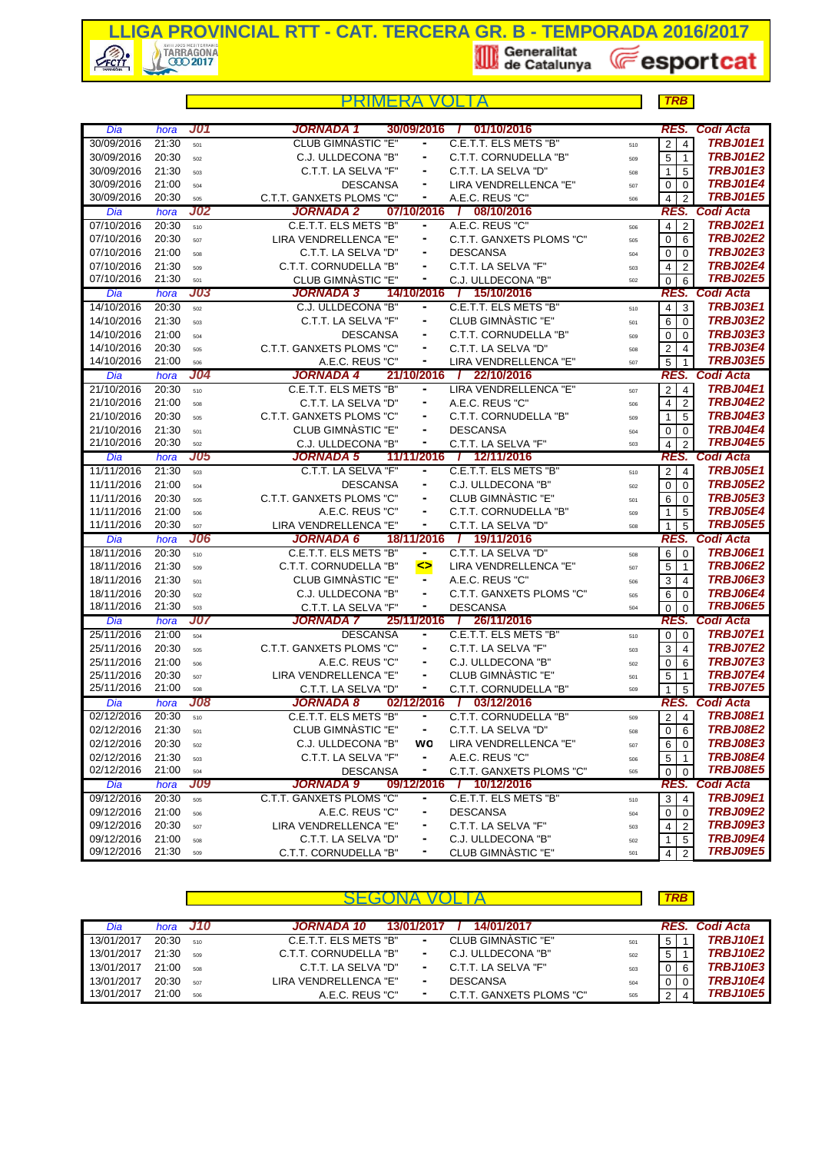

|            |       |            | PRIMFRA                   |                              |                             |     | <b>TRB</b>                       |                                    |
|------------|-------|------------|---------------------------|------------------------------|-----------------------------|-----|----------------------------------|------------------------------------|
| Dia        | hora  | <b>J01</b> | JORNADA 1                 | 30/09/2016                   | 01/10/2016<br>$\mathbf{I}$  |     | RES.                             | <b>Codi Acta</b>                   |
| 30/09/2016 | 21:30 | 501        | <b>CLUB GIMNÀSTIC "E"</b> | $\qquad \qquad \blacksquare$ | C.E.T.T. ELS METS "B"       | 510 | $\mathbf 2$<br>$\overline{4}$    | <b>TRBJ01E1</b>                    |
| 30/09/2016 | 20:30 | 502        | C.J. ULLDECONA "B"        | ۰                            | C.T.T. CORNUDELLA "B"       | 509 | 5<br>$\overline{1}$              | <b>TRBJ01E2</b>                    |
| 30/09/2016 | 21:30 | 503        | C.T.T. LA SELVA "F"       |                              | C.T.T. LA SELVA "D"         | 508 | 5<br>$\mathbf{1}$                | <b>TRBJ01E3</b>                    |
| 30/09/2016 | 21:00 | 504        | <b>DESCANSA</b>           | ۰                            | LIRA VENDRELLENCA "E"       | 507 | 0<br>$\Omega$                    | TRBJ01E4                           |
| 30/09/2016 | 20:30 | 505        | C.T.T. GANXETS PLOMS "C"  | ٠                            | A.E.C. REUS "C"             | 506 | $\overline{4}$<br>$\overline{2}$ | <b>TRBJ01E5</b>                    |
| Dia        | hora  | <b>J02</b> | JORNADA 2                 | 07/10/2016                   | / 08/10/2016                |     | RES.                             | <b>Codi Acta</b>                   |
| 07/10/2016 | 20:30 | 510        | C.E.T.T. ELS METS "B"     | ۰                            | A.E.C. REUS "C"             | 506 | $\overline{4}$<br>$\overline{2}$ | <b>TRBJ02E1</b>                    |
| 07/10/2016 | 20:30 | 507        | LIRA VENDRELLENCA "E"     | ۰                            | C.T.T. GANXETS PLOMS "C"    | 505 | $\mathbf 0$<br>6                 | <b>TRBJ02E2</b>                    |
| 07/10/2016 | 21:00 | 508        | C.T.T. LA SELVA "D"       |                              | <b>DESCANSA</b>             | 504 | 0<br>$\overline{0}$              | <b>TRBJ02E3</b>                    |
| 07/10/2016 | 21:30 | 509        | C.T.T. CORNUDELLA "B"     | ۰                            | C.T.T. LA SELVA "F"         | 503 | 4<br>$\overline{2}$              | <b>TRBJ02E4</b>                    |
| 07/10/2016 | 21:30 | 501        | CLUB GIMNASTIC "E"        | ۰                            | C.J. ULLDECONA "B"          | 502 | $\mathbf 0$<br>6                 | <b>TRBJ02E5</b>                    |
| Dia        | hora  | <b>J03</b> | <b>JORNADA 3</b>          |                              | 14/10/2016 / 15/10/2016     |     |                                  | RES. Codi Acta                     |
| 14/10/2016 | 20:30 | 502        | C.J. ULLDECONA "B"        | ۰                            | C.E.T.T. ELS METS "B"       | 510 | $\overline{4}$<br>3              | <b>TRBJ03E1</b>                    |
| 14/10/2016 | 21:30 | 503        | C.T.T. LA SELVA "F"       |                              | CLUB GIMNASTIC "E"          | 501 | 6<br>$\Omega$                    | <b>TRBJ03E2</b>                    |
| 14/10/2016 | 21:00 | 504        | <b>DESCANSA</b>           |                              | C.T.T. CORNUDELLA "B"       | 509 | 0<br>$\overline{0}$              | <b>TRBJ03E3</b>                    |
| 14/10/2016 | 20:30 | 505        | C.T.T. GANXETS PLOMS "C"  | ۰                            | C.T.T. LA SELVA "D"         | 508 | $\overline{c}$<br>$\overline{4}$ | <b>TRBJ03E4</b>                    |
| 14/10/2016 | 21:00 | 506        | A.E.C. REUS "C"           | ۰                            | LIRA VENDRELLENCA "E"       | 507 | $\overline{5}$<br>$\overline{1}$ | <b>TRBJ03E5</b>                    |
| Dia        | hora  | <b>J04</b> | <b>JORNADA 4</b>          | 21/10/2016                   | 22/10/2016<br>$\mathcal{L}$ |     | RES.                             | <b>Codi Acta</b>                   |
| 21/10/2016 | 20:30 | 510        | C.E.T.T. ELS METS "B"     | ۰                            | LIRA VENDRELLENCA "E"       | 507 | $\mathbf 2$<br>$\overline{4}$    | <b>TRBJ04E1</b>                    |
| 21/10/2016 | 21:00 | 508        | C.T.T. LA SELVA "D"       |                              | A.E.C. REUS "C"             | 506 | $\overline{4}$<br>$\overline{2}$ | <b>TRBJ04E2</b>                    |
| 21/10/2016 | 20:30 | 505        | C.T.T. GANXETS PLOMS "C"  | ۰                            | C.T.T. CORNUDELLA "B"       | 509 | 5<br>$\mathbf 1$                 | TRBJ04E3                           |
| 21/10/2016 | 21:30 | 501        | CLUB GIMNASTIC "E"        | ä,                           | <b>DESCANSA</b>             | 504 | $\mathbf 0$<br>$\Omega$          | <b>TRBJ04E4</b>                    |
| 21/10/2016 | 20:30 | 502        | C.J. ULLDECONA "B"        | ۰                            | C.T.T. LA SELVA "F"         | 503 | $\overline{4}$<br>$\overline{2}$ | <b>TRBJ04E5</b>                    |
| Dia        | hora  | <b>J05</b> | <b>JORNADA 5</b>          | 11/11/2016                   | 7 12/11/2016                |     | RES.                             | Codi Acta                          |
| 11/11/2016 | 21:30 | 503        | C.T.T. LA SELVA "F"       | $\qquad \qquad \blacksquare$ | C.E.T.T. ELS METS "B"       | 510 | $\overline{2}$<br>$\overline{4}$ | <b>TRBJ05E1</b>                    |
| 11/11/2016 | 21:00 | 504        | <b>DESCANSA</b>           |                              | C.J. ULLDECONA "B"          | 502 | 0<br>l 0                         | <b>TRBJ05E2</b>                    |
| 11/11/2016 | 20:30 | 505        | C.T.T. GANXETS PLOMS "C"  |                              | CLUB GIMNASTIC "E"          | 501 | 6<br>$\overline{0}$              | <b>TRBJ05E3</b>                    |
| 11/11/2016 | 21:00 | 506        | A.E.C. REUS "C"           | ۰                            | C.T.T. CORNUDELLA "B"       | 509 | 5<br>$\mathbf 1$                 | <b>TRBJ05E4</b>                    |
| 11/11/2016 | 20:30 | 507        | LIRA VENDRELLENCA "E"     | ۰                            | C.T.T. LA SELVA "D"         | 508 | 5<br>$\mathbf{1}$                | <b>TRBJ05E5</b>                    |
| Dia        | hora  | <b>J06</b> | <b>JORNADA 6</b>          | 18/11/2016                   | / 19/11/2016                |     |                                  | <b>RES. Codi Acta</b>              |
| 18/11/2016 | 20:30 | 510        | C.E.T.T. ELS METS "B"     | $\blacksquare$               | C.T.T. LA SELVA "D"         | 508 | 6<br>$\mathbf 0$                 | <b>TRBJ06E1</b>                    |
| 18/11/2016 | 21:30 | 509        | C.T.T. CORNUDELLA "B"     | $\leftrightarrow$            | LIRA VENDRELLENCA "E"       | 507 | 5<br>$\vert$ 1                   | <b>TRBJ06E2</b>                    |
| 18/11/2016 | 21:30 | 501        | CLUB GIMNASTIC "E"        | ۰                            | A.E.C. REUS "C"             | 506 | 3<br>$\overline{4}$              | <b>TRBJ06E3</b>                    |
| 18/11/2016 | 20:30 | 502        | C.J. ULLDECONA "B"        | $\qquad \qquad \blacksquare$ | C.T.T. GANXETS PLOMS "C"    | 505 | 6<br>$\mathbf 0$                 | <b>TRBJ06E4</b>                    |
| 18/11/2016 | 21:30 | 503        | C.T.T. LA SELVA "F"       | ۰                            | <b>DESCANSA</b>             | 504 | $\mathbf 0$<br>$\overline{0}$    | <b>TRBJ06E5</b>                    |
| Dia        | hora  | <b>J07</b> | JORNADA 7                 | 25/11/2016                   | 7 26/11/2016                |     | RES.                             | Codi Acta                          |
| 25/11/2016 | 21:00 | 504        | <b>DESCANSA</b>           |                              | C.E.T.T. ELS METS "B"       | 510 | $\mathbf 0$<br>$\mathbf 0$       | <b>TRBJ07E1</b>                    |
| 25/11/2016 | 20:30 | 505        | C.T.T. GANXETS PLOMS "C"  |                              | C.T.T. LA SELVA "F"         | 503 | 3<br>$\overline{4}$              | <b>TRBJ07E2</b>                    |
| 25/11/2016 | 21:00 | 506        | A.E.C. REUS "C"           |                              | C.J. ULLDECONA "B"          | 502 | $\mathbf 0$<br>6                 | TRBJ07E3                           |
| 25/11/2016 | 20:30 | 507        | LIRA VENDRELLENCA "E"     | ۰                            | CLUB GIMNASTIC "E"          | 501 | 5<br>$\mathbf{1}$                | <b>TRBJ07E4</b>                    |
| 25/11/2016 | 21:00 | 508        | C.T.T. LA SELVA "D"       |                              | C.T.T. CORNUDELLA "B"       | 509 | 5<br>1                           | <b>TRBJ07E5</b>                    |
| Dia        | hora  | <b>J08</b> | JORNADA 8                 |                              | 02/12/2016 / 03/12/2016     |     | RES.                             | <b>Codi Acta</b>                   |
| 02/12/2016 | 20:30 | 510        | C.E.T.T. ELS METS "B"     | ٠                            | C.T.T. CORNUDELLA "B"       | 509 | $\overline{\mathbf{c}}$<br>4     | <b>TRBJ08E1</b>                    |
| 02/12/2016 | 21:30 | 501        | <b>CLUB GIMNASTIC "E"</b> | ۰                            | C.T.T. LA SELVA "D"         | 508 | 0<br>- 6                         | <b>TRBJ08E2</b>                    |
| 02/12/2016 | 20:30 | 502        | C.J. ULLDECONA "B"        | wo                           | LIRA VENDRELLENCA "E"       | 507 | 6<br>0                           | <b>TRBJ08E3</b>                    |
| 02/12/2016 | 21:30 | 503        | C.T.T. LA SELVA "F"       | ۰                            | A.E.C. REUS "C"             | 506 | 5<br>$\overline{1}$              | <b>TRBJ08E4</b>                    |
| 02/12/2016 | 21:00 | 504        | <b>DESCANSA</b>           |                              | C.T.T. GANXETS PLOMS "C"    | 505 | 0<br>0                           | <b>TRBJ08E5</b>                    |
| Dia        | hora  | <b>J09</b> | JORNADA 9                 | 09/12/2016                   | 7 10/12/2016                |     | RES.                             | Codi Acta                          |
| 09/12/2016 | 20:30 | 505        | C.T.T. GANXETS PLOMS "C"  | ٠                            | C.E.T.T. ELS METS "B"       | 510 | 3<br>$\overline{4}$              | <b>TRBJ09E1</b>                    |
| 09/12/2016 | 21:00 | 506        | A.E.C. REUS "C"           |                              | <b>DESCANSA</b>             | 504 | 0<br>$\overline{0}$              | <b>TRBJ09E2</b>                    |
| 09/12/2016 | 20:30 | 507        | LIRA VENDRELLENCA "E"     | ۰                            | C.T.T. LA SELVA "F"         | 503 | $\overline{2}$<br>4              | <b>TRBJ09E3</b>                    |
| 09/12/2016 | 21:00 | 508        | C.T.T. LA SELVA "D"       |                              | C.J. ULLDECONA "B"          | 502 | $\mathbf{1}$<br>5                | <b>TRBJ09E4</b><br><b>TRBJ09E5</b> |
| 09/12/2016 | 21:30 | 509        | C.T.T. CORNUDELLA "B"     |                              | CLUB GIMNÀSTIC "E"          | 501 | 4<br>$\overline{2}$              |                                    |

|            |                 |     |                                                   |     | <b>TRB</b>     |                 |
|------------|-----------------|-----|---------------------------------------------------|-----|----------------|-----------------|
| Dia        | hora <b>J10</b> |     | 14/01/2017<br><b>JORNADA 10</b><br>13/01/2017     |     |                | RES. Codi Acta  |
| 13/01/2017 | 20:30           | 510 | CLUB GIMNÀSTIC "E"<br>C.E.T.T. ELS METS "B"<br>۰. | 501 | 5              | <b>TRBJ10E1</b> |
| 13/01/2017 | 21:30           | 509 | C.T.T. CORNUDELLA "B"<br>C.J. ULLDECONA "B"<br>۰  | 502 | 5 <sup>1</sup> | <b>TRBJ10E2</b> |
| 13/01/2017 | 21:00           | 508 | C.T.T. LA SELVA "F"<br>C.T.T. LA SELVA "D"        | 503 | $\overline{0}$ | <b>TRBJ10E3</b> |
| 13/01/2017 | 20:30           | 507 | LIRA VENDRELLENCA "E"<br><b>DESCANSA</b><br>۰     | 504 | $01$ 0         | <b>TRBJ10E4</b> |
| 13/01/2017 | 21:00           | 506 | C.T.T. GANXETS PLOMS "C"<br>A.E.C. REUS "C"       | 505 | 21             | <b>TRBJ10E5</b> |